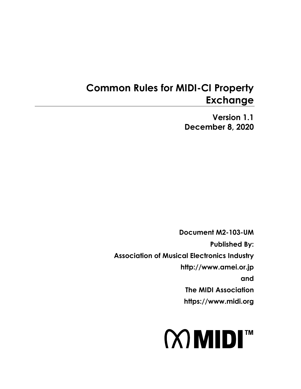# **Common Rules for MIDI-CI Property Exchange**

**Version 1.1 December 8, 2020**

**Document M2-103-UM Published By: Association of Musical Electronics Industry http://www.amei.or.jp and The MIDI Association https://www.midi.org** 

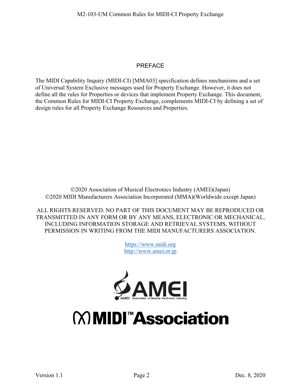#### PREFACE

The MIDI Capability Inquiry (MIDI-CI) [\[MMA03\]](#page-6-0) specification defines mechanisms and a set of Universal System Exclusive messages used for Property Exchange. However, it does not define all the rules for Properties or devices that implement Property Exchange. This document, the Common Rules for MIDI-CI Property Exchange, complements MIDI-CI by defining a set of design rules for all Property Exchange Resources and Properties.

2020 Association of Musical Electronics Industry (AMEI)(Japan) 2020 MIDI Manufacturers Association Incorporated (MMA)(Worldwide except Japan)

ALL RIGHTS RESERVED. NO PART OF THIS DOCUMENT MAY BE REPRODUCED OR TRANSMITTED IN ANY FORM OR BY ANY MEANS, ELECTRONIC OR MECHANICAL, INCLUDING INFORMATION STORAGE AND RETRIEVAL SYSTEMS, WITHOUT PERMISSION IN WRITING FROM THE MIDI MANUFACTURERS ASSOCIATION.

> [https://www.midi.org](https://www.midi.org/) [http://www.amei.or.jp](http://www.amei.or.jp/)



# **MMDI<sup>™</sup>Association**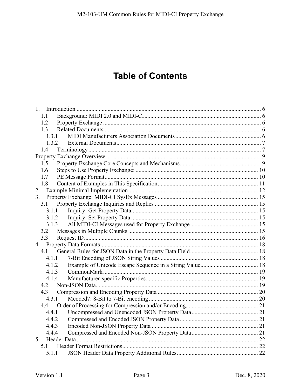# **Table of Contents**

| $1_{-}$ |  |
|---------|--|
| 1.1     |  |
| 1.2     |  |
| 1.3     |  |
| 1.3.1   |  |
| 1.3.2   |  |
| 1.4     |  |
|         |  |
| 1.5     |  |
| 1.6     |  |
| 1.7     |  |
| 1.8     |  |
| 2.      |  |
| 3.      |  |
| 3.1     |  |
| 3.1.1   |  |
| 3.1.2   |  |
| 3.1.3   |  |
| 3.2     |  |
| 3.3     |  |
|         |  |
| 4.1     |  |
| 4.1.1   |  |
| 4.1.2   |  |
| 4.1.3   |  |
| 4.1.4   |  |
| 4.2     |  |
| 4.3     |  |
| 4.3.1   |  |
| 4.4     |  |
| 4.4.1   |  |
| 4.4.2   |  |
| 4.4.3   |  |
| 4.4.4   |  |
| 5.      |  |
| 5.1     |  |
| 5.1.1   |  |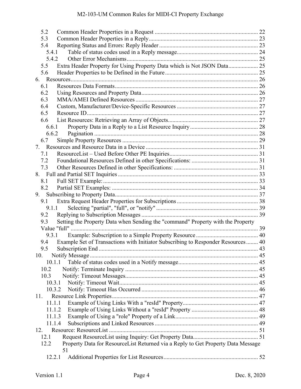| 5.2                                                                                            |  |
|------------------------------------------------------------------------------------------------|--|
| 5.3                                                                                            |  |
| 5.4                                                                                            |  |
| 5.4.1                                                                                          |  |
| 5.4.2                                                                                          |  |
| Extra Header Property for Using Property Data which is Not JSON Data 25<br>5.5                 |  |
| 5.6                                                                                            |  |
|                                                                                                |  |
| 6.1                                                                                            |  |
| 6.2                                                                                            |  |
| 6.3                                                                                            |  |
| 6.4                                                                                            |  |
| 6.5                                                                                            |  |
| 6.6                                                                                            |  |
| 6.6.1                                                                                          |  |
| 6.6.2                                                                                          |  |
| 6.7                                                                                            |  |
| 7.                                                                                             |  |
| 7.1                                                                                            |  |
| 7.2                                                                                            |  |
| 7.3                                                                                            |  |
|                                                                                                |  |
| 8.1                                                                                            |  |
| 8.2                                                                                            |  |
| 9.                                                                                             |  |
| 9.1                                                                                            |  |
| 9.1.1                                                                                          |  |
| 9.2                                                                                            |  |
| Setting the Property Data when Sending the "command" Property with the Property<br>9.3         |  |
|                                                                                                |  |
| 9.3.1                                                                                          |  |
| Example Set of Transactions with Initiator Subscribing to Responder Resources 40<br>9.4        |  |
| 9.5                                                                                            |  |
| 10.                                                                                            |  |
| 10.1.1                                                                                         |  |
| 10.2                                                                                           |  |
| 10.3                                                                                           |  |
| 10.3.1                                                                                         |  |
| 10.3.2                                                                                         |  |
| 11.                                                                                            |  |
| 11.1.1                                                                                         |  |
| 11.1.2                                                                                         |  |
| 11.1.3                                                                                         |  |
| 11.1.4                                                                                         |  |
| 12.                                                                                            |  |
| 12.1                                                                                           |  |
| Property Data for ResourceList Returned via a Reply to Get Property Data Message<br>12.2<br>51 |  |
| 12.2.1                                                                                         |  |
|                                                                                                |  |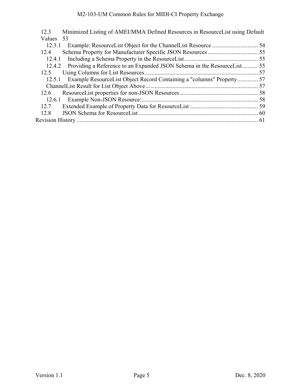| 12.3      | Minimized Listing of AMEI/MMA Defined Resources in Resource List using Default |  |
|-----------|--------------------------------------------------------------------------------|--|
| Values 53 |                                                                                |  |
| 12.3.1    |                                                                                |  |
| 12.4      |                                                                                |  |
| 12.4.1    |                                                                                |  |
|           | 12.4.2 Providing a Reference to an Expanded JSON Schema in the ResourceList 55 |  |
| 12.5      |                                                                                |  |
|           | 12.5.1 Example ResourceList Object Record Containing a "columns" Property 57   |  |
|           |                                                                                |  |
| 12.6      |                                                                                |  |
|           |                                                                                |  |
| 12.7      |                                                                                |  |
| 12.8      |                                                                                |  |
|           |                                                                                |  |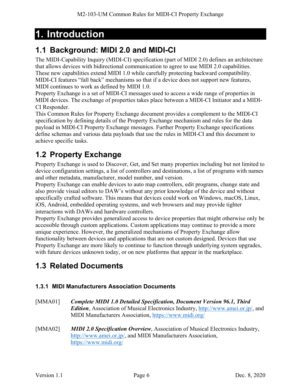# <span id="page-5-0"></span>**1. Introduction**

### <span id="page-5-1"></span>**1.1 Background: MIDI 2.0 and MIDI-CI**

The MIDI-Capability Inquiry (MIDI-CI) specification (part of MIDI 2.0) defines an architecture that allows devices with bidirectional communication to agree to use MIDI 2.0 capabilities. These new capabilities extend MIDI 1.0 while carefully protecting backward compatibility. MIDI-CI features "fall back" mechanisms so that if a device does not support new features, MIDI continues to work as defined by MIDI 1.0.

Property Exchange is a set of MIDI-CI messages used to access a wide range of properties in MIDI devices. The exchange of properties takes place between a MIDI-CI Initiator and a MIDI-CI Responder.

This Common Rules for Property Exchange document provides a complement to the MIDI-CI specification by defining details of the Property Exchange mechanism and rules for the data payload in MIDI-CI Property Exchange messages. Further Property Exchange specifications define schemas and various data payloads that use the rules in MIDI-CI and this document to achieve specific tasks.

### <span id="page-5-2"></span>**1.2 Property Exchange**

Property Exchange is used to Discover, Get, and Set many properties including but not limited to device configuration settings, a list of controllers and destinations, a list of programs with names and other metadata, manufacturer, model number, and version.

Property Exchange can enable devices to auto map controllers, edit programs, change state and also provide visual editors to DAW's without any prior knowledge of the device and without specifically crafted software. This means that devices could work on Windows, macOS, Linux, iOS, Android, embedded operating systems, and web browsers and may provide tighter interactions with DAWs and hardware controllers.

Property Exchange provides generalized access to device properties that might otherwise only be accessible through custom applications. Custom applications may continue to provide a more unique experience. However, the generalized mechanisms of Property Exchange allow functionality between devices and applications that are not custom designed. Devices that use Property Exchange are more likely to continue to function through underlying system upgrades, with future devices unknown today, or on new platforms that appear in the marketplace.

### <span id="page-5-3"></span>**1.3 Related Documents**

#### <span id="page-5-4"></span>**1.3.1 MIDI Manufacturers Association Documents**

- <span id="page-5-5"></span>[MMA01] *Complete MIDI 1.0 Detailed Specification, Document Version 96.1, Third Edition*, Association of Musical Electronics Industry, [http://www.amei.or.jp/,](http://www.amei.or.jp/) and MIDI Manufacturers Association,<https://www.midi.org/>
- [MMA02] *MIDI 2.0 Specification Overview*, Association of Musical Electronics Industry, [http://www.amei.or.jp/,](http://www.amei.or.jp/) and MIDI Manufacturers Association, <https://www.midi.org/>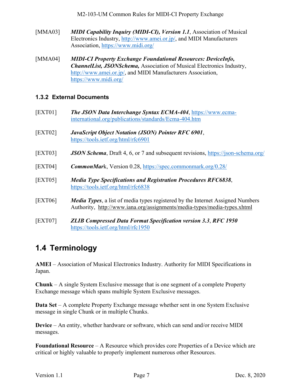M2-103-UM Common Rules for MIDI-CI Property Exchange

- <span id="page-6-0"></span>[MMA03] *MIDI Capability Inquiry (MIDI-CI), Version 1.1*, Association of Musical Electronics Industry, [http://www.amei.or.jp/,](http://www.amei.or.jp/) and MIDI Manufacturers Association,<https://www.midi.org/>
- <span id="page-6-7"></span>[MMA04] *MIDI-CI Property Exchange Foundational Resources: DeviceInfo, ChannelList, JSONSchema,* Association of Musical Electronics Industry, [http://www.amei.or.jp/,](http://www.amei.or.jp/) and MIDI Manufacturers Association, <https://www.midi.org/>

#### <span id="page-6-1"></span>**1.3.2 External Documents**

- [EXT01] *The JSON Data Interchange Syntax ECMA-404*, [https://www.ecma](https://www.ecma-international.org/publications/standards/Ecma-404.htm)[international.org/publications/standards/Ecma-404.htm](https://www.ecma-international.org/publications/standards/Ecma-404.htm)
- [EXT02] *JavaScript Object Notation (JSON) Pointer RFC 6901*, <https://tools.ietf.org/html/rfc6901>
- [EXT03] *JSON Schema*, Draft 4, 6, or 7 and subsequent revisions,<https://json-schema.org/>
- <span id="page-6-3"></span>[EXT04] *CommonMar*k, Version 0.28,<https://spec.commonmark.org/0.28/>
- <span id="page-6-5"></span>[EXT05] *Media Type Specifications and Registration Procedures RFC6838*, <https://tools.ietf.org/html/rfc6838>
- <span id="page-6-6"></span>[EXT06] *Media Types*, a list of media types registered by the Internet Assigned Numbers Authority, <http://www.iana.org/assignments/media-types/media-types.xhtml>
- <span id="page-6-4"></span>[EXT07] *ZLIB Compressed Data Format Specification version 3.3*, *RFC 1950*  <https://tools.ietf.org/html/rfc1950>

### <span id="page-6-2"></span>**1.4 Terminology**

**AMEI** – Association of Musical Electronics Industry. Authority for MIDI Specifications in Japan.

**Chunk** – A single System Exclusive message that is one segment of a complete Property Exchange message which spans multiple System Exclusive messages.

**Data Set** – A complete Property Exchange message whether sent in one System Exclusive message in single Chunk or in multiple Chunks.

**Device** – An entity, whether hardware or software, which can send and/or receive MIDI messages.

**Foundational Resource** – A Resource which provides core Properties of a Device which are critical or highly valuable to properly implement numerous other Resources.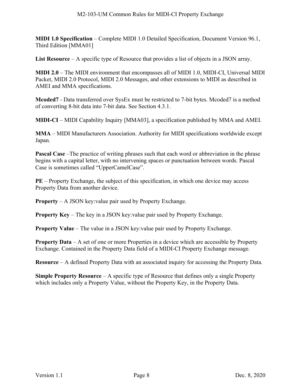**MIDI 1.0 Specification** – Complete MIDI 1.0 Detailed Specification, Document Version 96.1, Third Edition [\[MMA01\]](#page-5-5)

**List Resource** – A specific type of Resource that provides a list of objects in a JSON array.

**MIDI 2.0** – The MIDI environment that encompasses all of MIDI 1.0, MIDI-CI, Universal MIDI Packet, MIDI 2.0 Protocol, MIDI 2.0 Messages, and other extensions to MIDI as described in AMEI and MMA specifications.

**Mcoded7** - Data transferred over SysEx must be restricted to 7-bit bytes. Mcoded7 is a method of converting 8-bit data into 7-bit data. See Section [4.3.1.](#page-19-1)

**MIDI-CI** – MIDI Capability Inquiry [\[MMA03\],](#page-6-0) a specification published by MMA and AMEI.

**MMA** – MIDI Manufacturers Association. Authority for MIDI specifications worldwide except Japan.

**Pascal Case** –The practice of writing phrases such that each word or abbreviation in the phrase begins with a capital letter, with no intervening spaces or punctuation between words. Pascal Case is sometimes called "UpperCamelCase".

**PE** – Property Exchange, the subject of this specification, in which one device may access Property Data from another device.

**Property** – A JSON key:value pair used by Property Exchange.

**Property Key** – The key in a JSON key:value pair used by Property Exchange.

**Property Value** – The value in a JSON key: value pair used by Property Exchange.

**Property Data** – A set of one or more Properties in a device which are accessible by Property Exchange. Contained in the Property Data field of a MIDI-CI Property Exchange message.

**Resource** – A defined Property Data with an associated inquiry for accessing the Property Data.

**Simple Property Resource** – A specific type of Resource that defines only a single Property which includes only a Property Value, without the Property Key, in the Property Data.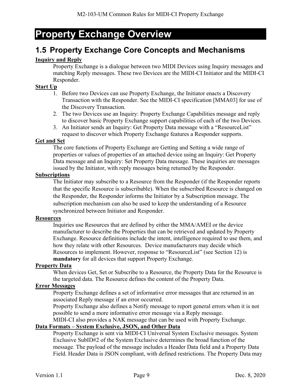# <span id="page-8-0"></span>**Property Exchange Overview**

### <span id="page-8-1"></span>**1.5 Property Exchange Core Concepts and Mechanisms**

#### **Inquiry and Reply**

Property Exchange is a dialogue between two MIDI Devices using Inquiry messages and matching Reply messages. These two Devices are the MIDI-CI Initiator and the MIDI-CI Responder.

#### **Start Up**

- 1. Before two Devices can use Property Exchange, the Initiator enacts a Discovery Transaction with the Responder. See the MIDI-CI specification [\[MMA03\]](#page-6-0) for use of the Discovery Transaction.
- 2. The two Devices use an Inquiry: Property Exchange Capabilities message and reply to discover basic Property Exchange support capabilities of each of the two Devices.
- 3. An Initiator sends an Inquiry: Get Property Data message with a "ResourceList" request to discover which Property Exchange features a Responder supports.

#### **Get and Set**

The core functions of Property Exchange are Getting and Setting a wide range of properties or values of properties of an attached device using an Inquiry: Get Property Data message and an Inquiry: Set Property Data message. These inquiries are messages issued by the Initiator, with reply messages being returned by the Responder.

#### **Subscriptions**

The Initiator may subscribe to a Resource from the Responder (if the Responder reports that the specific Resource is subscribable). When the subscribed Resource is changed on the Responder, the Responder informs the Initiator by a Subscription message. The subscription mechanism can also be used to keep the understanding of a Resource synchronized between Initiator and Responder.

#### **Resources**

Inquiries use Resources that are defined by either the MMA/AMEI or the device manufacturer to describe the Properties that can be retrieved and updated by Property Exchange. Resource definitions include the intent, intelligence required to use them, and how they relate with other Resources. Device manufacturers may decide which Resources to implement. However, response to "ResourceList" (see Section [12\)](#page-50-0) is **mandatory** for all devices that support Property Exchange.

#### **Property Data**

When devices Get, Set or Subscribe to a Resource, the Property Data for the Resource is the targeted data. The Resource defines the content of the Property Data.

#### **Error Messages**

Property Exchange defines a set of informative error messages that are returned in an associated Reply message if an error occurred.

Property Exchange also defines a Notify message to report general errors when it is not possible to send a more informative error message via a Reply message.

MIDI-CI also provides a NAK message that can be used with Property Exchange.

#### **Data Formats – System Exclusive, JSON, and Other Data**

Property Exchange is sent via MIDI-CI Universal System Exclusive messages. System Exclusive SubID#2 of the System Exclusive determines the broad function of the message. The payload of the message includes a Header Data field and a Property Data Field. Header Data is JSON compliant, with defined restrictions. The Property Data may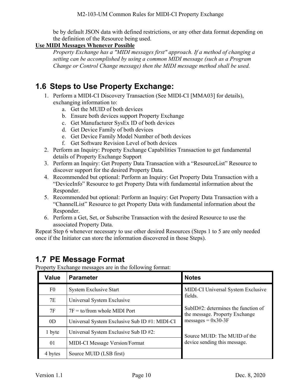be by default JSON data with defined restrictions, or any other data format depending on the definition of the Resource being used.

#### **Use MIDI Messages Whenever Possible**

*Property Exchange has a "MIDI messages first" approach. If a method of changing a setting can be accomplished by using a common MIDI message (such as a Program Change or Control Change message) then the MIDI message method shall be used.*

### <span id="page-9-0"></span>**1.6 Steps to Use Property Exchange:**

- 1. Perform a MIDI-CI Discovery Transaction (See MIDI-CI [\[MMA03\]](#page-6-0) for details), exchanging information to:
	- a. Get the MUID of both devices
	- b. Ensure both devices support Property Exchange
	- c. Get Manufacturer SysEx ID of both devices
	- d. Get Device Family of both devices
	- e. Get Device Family Model Number of both devices
	- f. Get Software Revision Level of both devices
- 2. Perform an Inquiry: Property Exchange Capabilities Transaction to get fundamental details of Property Exchange Support
- 3. Perform an Inquiry: Get Property Data Transaction with a "ResourceList" Resource to discover support for the desired Property Data.
- 4. Recommended but optional: Perform an Inquiry: Get Property Data Transaction with a "DeviceInfo" Resource to get Property Data with fundamental information about the Responder.
- 5. Recommended but optional: Perform an Inquiry: Get Property Data Transaction with a "ChannelList" Resource to get Property Data with fundamental information about the Responder.
- 6. Perform a Get, Set, or Subscribe Transaction with the desired Resource to use the associated Property Data.

Repeat Step 6 whenever necessary to use other desired Resources (Steps 1 to 5 are only needed once if the Initiator can store the information discovered in those Steps).

### <span id="page-9-1"></span>**1.7 PE Message Format**

Property Exchange messages are in the following format:

| <b>Value</b>   | <b>Parameter</b>                              | <b>Notes</b>                                                             |
|----------------|-----------------------------------------------|--------------------------------------------------------------------------|
| F <sub>0</sub> | System Exclusive Start                        | MIDI-CI Universal System Exclusive                                       |
| 7E             | Universal System Exclusive                    | fields.                                                                  |
| 7F             | $7F =$ to/from whole MIDI Port                | $SubID#2$ : determines the function of<br>the message. Property Exchange |
| 0 <sub>D</sub> | Universal System Exclusive Sub ID #1: MIDI-CI | messages = $0x30-3F$                                                     |
| 1 byte         | Universal System Exclusive Sub ID #2:         | Source MUID: The MUID of the                                             |
| 01             | <b>MIDI-CI Message Version/Format</b>         | device sending this message.                                             |
| 4 bytes        | Source MUID (LSB first)                       |                                                                          |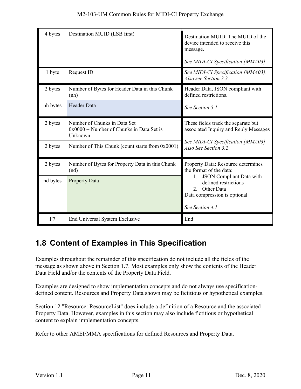| 4 bytes  | Destination MUID (LSB first)                                                          | Destination MUID: The MUID of the<br>device intended to receive this<br>message.<br>See MIDI-CI Specification [MMA03]       |
|----------|---------------------------------------------------------------------------------------|-----------------------------------------------------------------------------------------------------------------------------|
| 1 byte   | Request ID                                                                            | See MIDI-CI Specification [MMA03].                                                                                          |
|          |                                                                                       | Also see Section 3.3.                                                                                                       |
| 2 bytes  | Number of Bytes for Header Data in this Chunk<br>(nh)                                 | Header Data, JSON compliant with<br>defined restrictions.                                                                   |
| nh bytes | <b>Header Data</b>                                                                    | See Section 5.1                                                                                                             |
| 2 bytes  | Number of Chunks in Data Set<br>$0x0000$ = Number of Chunks in Data Set is<br>Unknown | These fields track the separate but<br>associated Inquiry and Reply Messages                                                |
| 2 bytes  | Number of This Chunk (count starts from 0x0001)                                       | See MIDI-CI Specification [MMA03]<br>Also See Section 3.2                                                                   |
| 2 bytes  | Number of Bytes for Property Data in this Chunk<br>(nd)                               | Property Data: Resource determines<br>the format of the data:                                                               |
| nd bytes | <b>Property Data</b>                                                                  | <b>JSON</b> Compliant Data with<br>defined restrictions<br>2. Other Data<br>Data compression is optional<br>See Section 4.1 |
| F7       | End Universal System Exclusive                                                        | End                                                                                                                         |

### <span id="page-10-0"></span>**1.8 Content of Examples in This Specification**

Examples throughout the remainder of this specification do not include all the fields of the message as shown above in Section [1.7.](#page-9-1) Most examples only show the contents of the Header Data Field and/or the contents of the Property Data Field.

Examples are designed to show implementation concepts and do not always use specificationdefined content. Resources and Property Data shown may be fictitious or hypothetical examples.

Section [12](#page-50-0) "Resource: ResourceList" does include a definition of a Resource and the associated Property Data. However, examples in this section may also include fictitious or hypothetical content to explain implementation concepts.

Refer to other AMEI/MMA specifications for defined Resources and Property Data.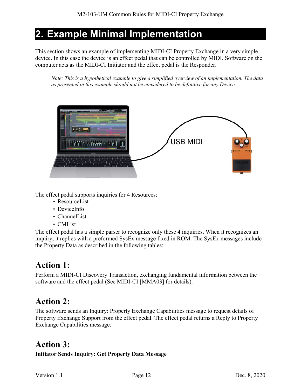# <span id="page-11-0"></span>**2. Example Minimal Implementation**

This section shows an example of implementing MIDI-CI Property Exchange in a very simple device. In this case the device is an effect pedal that can be controlled by MIDI. Software on the computer acts as the MIDI-CI Initiator and the effect pedal is the Responder.

*Note: This is a hypothetical example to give a simplified overview of an implementation. The data as presented in this example should not be considered to be definitive for any Device.* 



The effect pedal supports inquiries for 4 Resources:

- ResourceList
- DeviceInfo
- ChannelList
- CMList

The effect pedal has a simple parser to recognize only these 4 inquiries. When it recognizes an inquiry, it replies with a preformed SysEx message fixed in ROM. The SysEx messages include the Property Data as described in the following tables:

### **Action 1:**

Perform a MIDI-CI Discovery Transaction, exchanging fundamental information between the software and the effect pedal (See MIDI-CI [\[MMA03\]](#page-6-0) for details).

# **Action 2:**

The software sends an Inquiry: Property Exchange Capabilities message to request details of Property Exchange Support from the effect pedal. The effect pedal returns a Reply to Property Exchange Capabilities message.

### **Action 3:**

**Initiator Sends Inquiry: Get Property Data Message**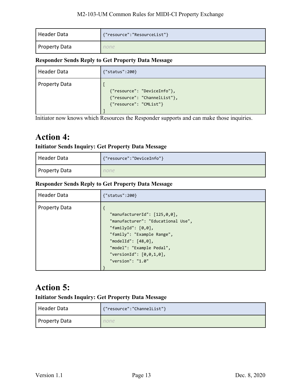| Header Data          | {"resource":"ResourceList"} |
|----------------------|-----------------------------|
| <b>Property Data</b> | none                        |

#### **Responder Sends Reply to Get Property Data Message**

| Header Data          | {"status":200}                                                                        |
|----------------------|---------------------------------------------------------------------------------------|
| <b>Property Data</b> | {"resource": "DeviceInfo"},<br>{"resource": "ChannelList"},<br>{"resource": "CMList"} |

Initiator now knows which Resources the Responder supports and can make those inquiries.

### **Action 4:**

#### **Initiator Sends Inquiry: Get Property Data Message**

| Header Data   | {"resource":"DeviceInfo"} |
|---------------|---------------------------|
| Property Data | none                      |

#### **Responder Sends Reply to Get Property Data Message**

| <b>Header Data</b>   | ${''}status":200$                                                                                                                                                                                                                           |
|----------------------|---------------------------------------------------------------------------------------------------------------------------------------------------------------------------------------------------------------------------------------------|
| <b>Property Data</b> | "manufacturerId": $[125, 0, 0]$ ,<br>"manufacturer": "Educational Use",<br>"familyId": $[0,0]$ ,<br>"family": "Example Range",<br>"modelId": $[48, 0]$ ,<br>"model": "Example Pedal",<br>"versionId": $[0,0,1,0]$ ,<br>"version": " $1.0$ " |

### **Action 5:**

#### **Initiator Sends Inquiry: Get Property Data Message**

| l Header Data | {"resource":"ChannelList"} |
|---------------|----------------------------|
| Property Data | none                       |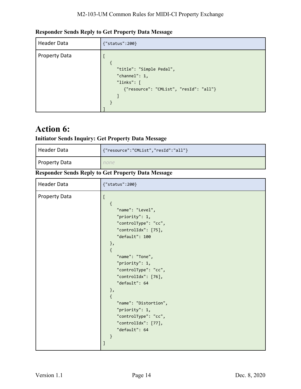| <b>Header Data</b>   | {"status":200}                                                                                             |
|----------------------|------------------------------------------------------------------------------------------------------------|
| <b>Property Data</b> | "title": "Simple Pedal",<br>"channel": $1,$<br>"links": $\lceil$<br>{"resource": "CMList", "resId": "all"} |

#### **Responder Sends Reply to Get Property Data Message**

### **Action 6:**

### **Initiator Sends Inquiry: Get Property Data Message**

| Header Data          | {"resource":"CMList","resId":"all"} |
|----------------------|-------------------------------------|
| <b>Property Data</b> |                                     |

#### **Responder Sends Reply to Get Property Data Message**

| Header Data          | {"status":200}                                                                                                                                                                                                                                                                                                                                                                                                                         |  |
|----------------------|----------------------------------------------------------------------------------------------------------------------------------------------------------------------------------------------------------------------------------------------------------------------------------------------------------------------------------------------------------------------------------------------------------------------------------------|--|
| <b>Property Data</b> | $\overline{\mathfrak{l}}$<br>$\{$<br>"name": "Level",<br>"priority": 1,<br>"controlType": "cc",<br>"controlIdx": [75],<br>"default": 100<br>$\}$ ,<br>$\{$<br>"name": "Tone",<br>"priority": 1,<br>"controlType": "cc",<br>"controlIdx": [76],<br>"default": 64<br>$\}$ ,<br>$\{$<br>"name": "Distortion",<br>"priority": 1,<br>"controlType": "cc",<br>"controlIdx": [77],<br>"default": 64<br>$\}$<br>$\begin{array}{c} \end{array}$ |  |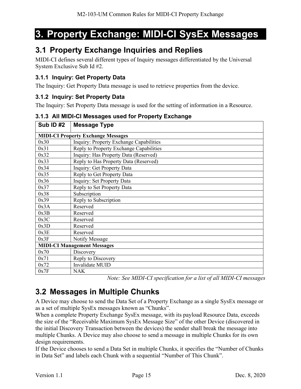# <span id="page-14-0"></span>**3. Property Exchange: MIDI-CI SysEx Messages**

### <span id="page-14-1"></span>**3.1 Property Exchange Inquiries and Replies**

MIDI-CI defines several different types of Inquiry messages differentiated by the Universal System Exclusive Sub Id #2.

#### <span id="page-14-2"></span>**3.1.1 Inquiry: Get Property Data**

The Inquiry: Get Property Data message is used to retrieve properties from the device.

#### <span id="page-14-3"></span>**3.1.2 Inquiry: Set Property Data**

The Inquiry: Set Property Data message is used for the setting of information in a Resource.

| <b>Sub ID #2</b> | <b>Message Type</b>                       |  |  |
|------------------|-------------------------------------------|--|--|
|                  | <b>MIDI-CI Property Exchange Messages</b> |  |  |
| 0x30             | Inquiry: Property Exchange Capabilities   |  |  |
| 0x31             | Reply to Property Exchange Capabilities   |  |  |
| 0x32             | Inquiry: Has Property Data (Reserved)     |  |  |
| 0x33             | Reply to Has Property Data (Reserved)     |  |  |
| 0x34             | Inquiry: Get Property Data                |  |  |
| 0x35             | Reply to Get Property Data                |  |  |
| 0x36             | Inquiry: Set Property Data                |  |  |
| 0x37             | Reply to Set Property Data                |  |  |
| 0x38             | Subscription                              |  |  |
| 0x39             | Reply to Subscription                     |  |  |
| 0x3A             | Reserved                                  |  |  |
| 0x3B             | Reserved                                  |  |  |
| 0x3C             | Reserved                                  |  |  |
| 0x3D             | Reserved                                  |  |  |
| 0x3E             | Reserved                                  |  |  |
| 0x3F             | Notify Message                            |  |  |
|                  | <b>MIDI-CI Management Messages</b>        |  |  |
| 0x70             | Discovery                                 |  |  |
| 0x71             | Reply to Discovery                        |  |  |
| 0x72             | Invalidate MUID                           |  |  |
| 0x7F             | <b>NAK</b>                                |  |  |

#### <span id="page-14-4"></span>**3.1.3 All MIDI-CI Messages used for Property Exchange**

*Note: See MIDI-CI specification for a list of all MIDI-CI messages*

### <span id="page-14-5"></span>**3.2 Messages in Multiple Chunks**

A Device may choose to send the Data Set of a Property Exchange as a single SysEx message or as a set of multiple SysEx messages known as "Chunks".

When a complete Property Exchange SysEx message, with its payload Resource Data, exceeds the size of the "Receivable Maximum SysEx Message Size" of the other Device (discovered in the initial Discovery Transaction between the devices) the sender shall break the message into multiple Chunks. A Device may also choose to send a message in multiple Chunks for its own design requirements.

If the Device chooses to send a Data Set in multiple Chunks, it specifies the "Number of Chunks in Data Set" and labels each Chunk with a sequential "Number of This Chunk".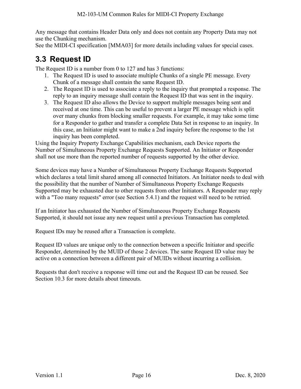Any message that contains Header Data only and does not contain any Property Data may not use the Chunking mechanism.

See the MIDI-CI specification [\[MMA03\]](#page-6-0) for more details including values for special cases.

### <span id="page-15-0"></span>**3.3 Request ID**

The Request ID is a number from 0 to 127 and has 3 functions:

- 1. The Request ID is used to associate multiple Chunks of a single PE message. Every Chunk of a message shall contain the same Request ID.
- 2. The Request ID is used to associate a reply to the inquiry that prompted a response. The reply to an inquiry message shall contain the Request ID that was sent in the inquiry.
- 3. The Request ID also allows the Device to support multiple messages being sent and received at one time. This can be useful to prevent a larger PE message which is split over many chunks from blocking smaller requests. For example, it may take some time for a Responder to gather and transfer a complete Data Set in response to an inquiry. In this case, an Initiator might want to make a 2nd inquiry before the response to the 1st inquiry has been completed.

Using the Inquiry Property Exchange Capabilities mechanism, each Device reports the Number of Simultaneous Property Exchange Requests Supported. An Initiator or Responder shall not use more than the reported number of requests supported by the other device.

Some devices may have a Number of Simultaneous Property Exchange Requests Supported which declares a total limit shared among all connected Initiators. An Initiator needs to deal with the possibility that the number of Number of Simultaneous Property Exchange Requests Supported may be exhausted due to other requests from other Initiators. A Responder may reply with a "Too many requests" error (see Section [5.4.1\)](#page-23-0) and the request will need to be retried.

If an Initiator has exhausted the Number of Simultaneous Property Exchange Requests Supported, it should not issue any new request until a previous Transaction has completed.

Request IDs may be reused after a Transaction is complete.

Request ID values are unique only to the connection between a specific Initiator and specific Responder, determined by the MUID of those 2 devices. The same Request ID value may be active on a connection between a different pair of MUIDs without incurring a collision.

Requests that don't receive a response will time out and the Request ID can be reused. See Section [10.3](#page-44-3) for more details about timeouts.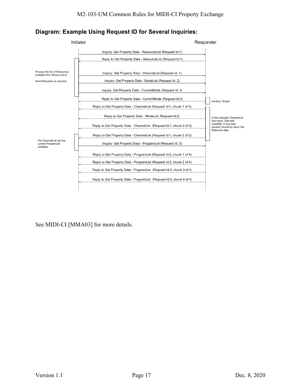



See MIDI-CI [\[MMA03\]](#page-6-0) for more details.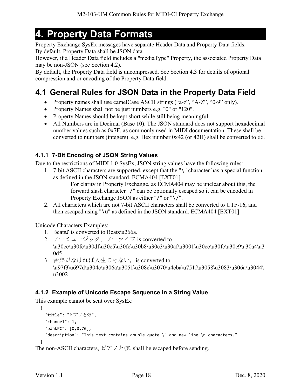# <span id="page-17-0"></span>**4. Property Data Formats**

Property Exchange SysEx messages have separate Header Data and Property Data fields. By default, Property Data shall be JSON data.

However, if a Header Data field includes a "mediaType" Property, the associated Property Data may be non-JSON (see Section [4.2\)](#page-18-2).

By default, the Property Data field is uncompressed. See Section [4.3](#page-19-0) for details of optional compression and or encoding of the Property Data field.

### <span id="page-17-1"></span>**4.1 General Rules for JSON Data in the Property Data Field**

- Property names shall use camelCase ASCII strings ("a-z", "A-Z", "0-9" only).
- Property Names shall not be just numbers e.g. "0" or "120".
- Property Names should be kept short while still being meaningful.
- All Numbers are in Decimal (Base 10). The JSON standard does not support hexadecimal number values such as 0x7F, as commonly used in MIDI documentation. These shall be converted to numbers (integers). e.g. Hex number 0x42 (or 42H) shall be converted to 66.

#### <span id="page-17-2"></span>**4.1.1 7-Bit Encoding of JSON String Values**

Due to the restrictions of MIDI 1.0 SysEx, JSON string values have the following rules:

1. 7-bit ASCII characters are supported, except that the "\" character has a special function as defined in the JSON standard, ECMA404 [\[EXT01\].](#page-6-1)

For clarity in Property Exchange, as ECMA404 may be unclear about this, the forward slash character "/" can be optionally escaped so it can be encoded in Property Exchange JSON as either "/" or "\/".

2. All characters which are not 7-bit ASCII characters shall be converted to UTF-16, and then escaped using "\u" as defined in the JSON standard, ECMA404 [\[EXT01\].](#page-6-1)

Unicode Characters Examples:

- 1. Beats♪ is converted to Beats\u266a.
- 2. ノーミュージック、ノーライフ is converted to \u30ce\u30fc\u30df\u30e5\u30fc\u30b8\u30c3\u30af\u3001\u30ce\u30fc\u30e9\u30a4\u3 0d5
- 3. 音楽がなければ人生じゃない。is converted to \u97f3\u697d\u304c\u306a\u3051\u308c\u3070\u4eba\u751f\u3058\u3083\u306a\u3044\ u3002

#### <span id="page-17-3"></span>**4.1.2 Example of Unicode Escape Sequence in a String Value**

This example cannot be sent over SysEx:

```
 { 
   "title": "ピアノと弦",
   "channel": 1,
   "bankPC": [0,0,76], 
   "description": "This text contains double quote \" and new line \n characters."
 }
```

```
The non-ASCII characters, ピアノと弦, shall be escaped before sending.
```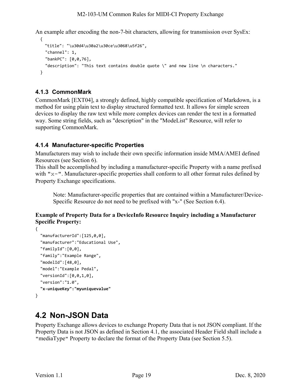An example after encoding the non-7-bit characters, allowing for transmission over SysEx:

```
 { 
   "title": "\u30d4\u30a2\u30ce\u3068\u5f26",
  "channel": 1,
   "bankPC": [0,0,76], 
  "description": "This text contains double quote \" and new line \n characters."
 }
```
#### <span id="page-18-0"></span>**4.1.3 CommonMark**

CommonMark [\[EXT04\],](#page-6-3) a strongly defined, highly compatible specification of Markdown, is a method for using plain text to display structured formatted text. It allows for simple screen devices to display the raw text while more complex devices can render the text in a formatted way. Some string fields, such as "description" in the "ModeList" Resource, will refer to supporting CommonMark.

#### <span id="page-18-1"></span>**4.1.4 Manufacturer-specific Properties**

Manufacturers may wish to include their own specific information inside MMA/AMEI defined Resources (see Section [6\)](#page-25-0).

This shall be accomplished by including a manufacturer-specific Property with a name prefixed with " $x$ -". Manufacturer-specific properties shall conform to all other format rules defined by Property Exchange specifications.

Note: Manufacturer-specific properties that are contained within a Manufacturer/Device-Specific Resource do not need to be prefixed with "x-" (See Section [6.4\)](#page-26-1).

#### **Example of Property Data for a DeviceInfo Resource Inquiry including a Manufacturer Specific Property:**

```
{ 
   "manufacturerId":[125,0,0],
   "manufacturer":"Educational Use",
   "familyId":[0,0],
   "family":"Example Range",
   "modelId":[48,0],
   "model":"Example Pedal",
   "versionId":[0,0,1,0],
   "version":"1.0",
   "x-uniqueKey":"myuniquevalue"
}
```
### <span id="page-18-2"></span>**4.2 Non-JSON Data**

Property Exchange allows devices to exchange Property Data that is not JSON compliant. If the Property Data is not JSON as defined in Section [4.1,](#page-17-1) the associated Header Field shall include a "mediaType" Property to declare the format of the Property Data (see Section [5.5\)](#page-24-1).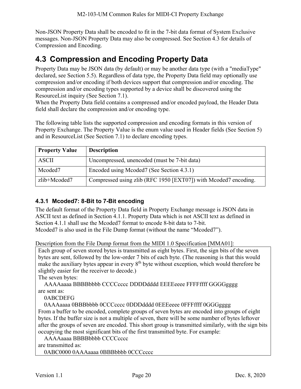Non-JSON Property Data shall be encoded to fit in the 7-bit data format of System Exclusive messages. Non-JSON Property Data may also be compressed. See Section [4.3](#page-19-0) for details of Compression and Encoding.

### <span id="page-19-0"></span>**4.3 Compression and Encoding Property Data**

Property Data may be JSON data (by default) or may be another data type (with a "mediaType" declared, see Section [5.5\)](#page-24-1). Regardless of data type, the Property Data field may optionally use compression and/or encoding if both devices support that compression and/or encoding. The compression and/or encoding types supported by a device shall be discovered using the ResourceList inquiry (See Section [7.1\)](#page-30-1).

When the Property Data field contains a compressed and/or encoded payload, the Header Data field shall declare the compression and/or encoding type.

The following table lists the supported compression and encoding formats in this version of Property Exchange. The Property Value is the enum value used in Header fields (See Section [5\)](#page-21-0) and in ResourceList (See Section [7.1\)](#page-30-1) to declare encoding types.

| <b>Property Value</b> | <b>Description</b>                                              |
|-----------------------|-----------------------------------------------------------------|
| <b>ASCII</b>          | Uncompressed, unencoded (must be 7-bit data)                    |
| Mcoded7               | Encoded using Mcoded7 (See Section 4.3.1)                       |
| zlib+Mcoded7          | Compressed using zlib (RFC 1950 [EXT07]) with Mcoded7 encoding. |

#### <span id="page-19-1"></span>**4.3.1 Mcoded7: 8-Bit to 7-Bit encoding**

The default format of the Property Data field in Property Exchange message is JSON data in ASCII text as defined in Section [4.1.1.](#page-17-2) Property Data which is not ASCII text as defined in Section [4.1.1](#page-17-2) shall use the Mcoded7 format to encode 8-bit data to 7-bit. Mcoded7 is also used in the File Dump format (without the name "Mcoded7").

Description from the File Dump format from the MIDI 1.0 Specification [\[MMA01\]:](#page-5-5)

Each group of seven stored bytes is transmitted as eight bytes. First, the sign bits of the seven bytes are sent, followed by the low-order 7 bits of each byte. (The reasoning is that this would make the auxiliary bytes appear in every  $8<sup>th</sup>$  byte without exception, which would therefore be slightly easier for the receiver to decode.)

The seven bytes:

AAAAaaaa BBBBbbbb CCCCcccc DDDDdddd EEEEeeee FFFFffff GGGGgggg are sent as:

0ABCDEFG

0AAAaaaa 0BBBbbbb 0CCCcccc 0DDDdddd 0EEEeeee 0FFFffff 0GGGgggg

From a buffer to be encoded, complete groups of seven bytes are encoded into groups of eight bytes. If the buffer size is not a multiple of seven, there will be some number of bytes leftover after the groups of seven are encoded. This short group is transmitted similarly, with the sign bits occupying the most significant bits of the first transmitted byte. For example:

AAAAaaaa BBBBbbbb CCCCcccc

are transmitted as:

0ABC0000 0AAAaaaa 0BBBbbbb 0CCCcccc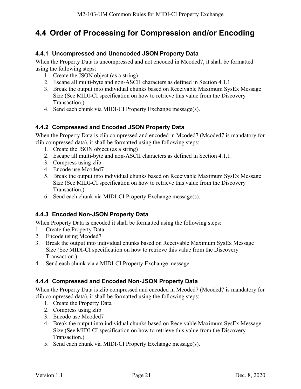### <span id="page-20-0"></span>**4.4 Order of Processing for Compression and/or Encoding**

#### <span id="page-20-1"></span>**4.4.1 Uncompressed and Unencoded JSON Property Data**

When the Property Data is uncompressed and not encoded in Mcoded7, it shall be formatted using the following steps:

- 1. Create the JSON object (as a string)
- 2. Escape all multi-byte and non-ASCII characters as defined in Section [4.1.1.](#page-17-2)
- 3. Break the output into individual chunks based on Receivable Maximum SysEx Message Size (See MIDI-CI specification on how to retrieve this value from the Discovery Transaction.)
- 4. Send each chunk via MIDI-CI Property Exchange message(s).

#### <span id="page-20-2"></span>**4.4.2 Compressed and Encoded JSON Property Data**

When the Property Data is zlib compressed and encoded in Mcoded7 (Mcoded7 is mandatory for zlib compressed data), it shall be formatted using the following steps:

- 1. Create the JSON object (as a string)
- 2. Escape all multi-byte and non-ASCII characters as defined in Section [4.1.1.](#page-17-2)
- 3. Compress using zlib
- 4. Encode use Mcoded7
- 5. Break the output into individual chunks based on Receivable Maximum SysEx Message Size (See MIDI-CI specification on how to retrieve this value from the Discovery Transaction.)
- 6. Send each chunk via MIDI-CI Property Exchange message(s).

#### <span id="page-20-3"></span>**4.4.3 Encoded Non-JSON Property Data**

When Property Data is encoded it shall be formatted using the following steps:

- 1. Create the Property Data
- 2. Encode using Mcoded7
- 3. Break the output into individual chunks based on Receivable Maximum SysEx Message Size (See MIDI-CI specification on how to retrieve this value from the Discovery Transaction.)
- 4. Send each chunk via a MIDI-CI Property Exchange message.

#### <span id="page-20-4"></span>**4.4.4 Compressed and Encoded Non-JSON Property Data**

When the Property Data is zlib compressed and encoded in Mcoded7 (Mcoded7 is mandatory for zlib compressed data), it shall be formatted using the following steps:

- 1. Create the Property Data
- 2. Compress using zlib
- 3. Encode use Mcoded7
- 4. Break the output into individual chunks based on Receivable Maximum SysEx Message Size (See MIDI-CI specification on how to retrieve this value from the Discovery Transaction.)
- 5. Send each chunk via MIDI-CI Property Exchange message(s).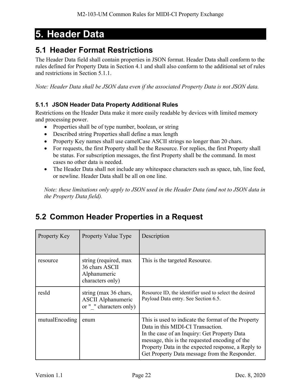# <span id="page-21-0"></span>**5. Header Data**

### <span id="page-21-1"></span>**5.1 Header Format Restrictions**

The Header Data field shall contain properties in JSON format. Header Data shall conform to the rules defined for Property Data in Section [4.1](#page-17-1) and shall also conform to the additional set of rules and restrictions in Section [5.1.1.](#page-21-2)

*Note: Header Data shall be JSON data even if the associated Property Data is not JSON data.* 

#### <span id="page-21-2"></span>**5.1.1 JSON Header Data Property Additional Rules**

Restrictions on the Header Data make it more easily readable by devices with limited memory and processing power.

- Properties shall be of type number, boolean, or string
- Described string Properties shall define a max length
- Property Key names shall use camelCase ASCII strings no longer than 20 chars.
- For requests, the first Property shall be the Resource. For replies, the first Property shall be status. For subscription messages, the first Property shall be the command. In most cases no other data is needed.
- The Header Data shall not include any whitespace characters such as space, tab, line feed, or newline. Header Data shall be all on one line.

*Note: these limitations only apply to JSON used in the Header Data (and not to JSON data in the Property Data field).*

### <span id="page-21-3"></span>**5.2 Common Header Properties in a Request**

| Property Key   | Property Value Type                                                           | Description                                                                                                                                                                                                                                                                                       |
|----------------|-------------------------------------------------------------------------------|---------------------------------------------------------------------------------------------------------------------------------------------------------------------------------------------------------------------------------------------------------------------------------------------------|
| resource       | string (required, max<br>36 chars ASCII<br>Alphanumeric<br>characters only)   | This is the targeted Resource.                                                                                                                                                                                                                                                                    |
| resId          | string (max 36 chars,<br><b>ASCII Alphanumeric</b><br>or " " characters only) | Resource ID, the identifier used to select the desired<br>Payload Data entry. See Section 6.5.                                                                                                                                                                                                    |
| mutualEncoding | enum                                                                          | This is used to indicate the format of the Property<br>Data in this MIDI-CI Transaction.<br>In the case of an Inquiry: Get Property Data<br>message, this is the requested encoding of the<br>Property Data in the expected response, a Reply to<br>Get Property Data message from the Responder. |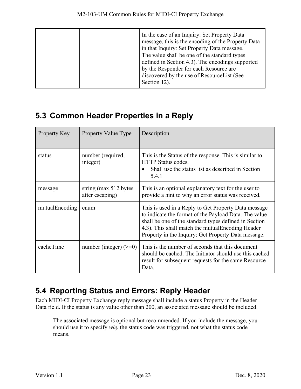|  | In the case of an Inquiry: Set Property Data<br>message, this is the encoding of the Property Data<br>in that Inquiry: Set Property Data message.<br>The value shall be one of the standard types<br>defined in Section 4.3). The encodings supported<br>by the Responder for each Resource are<br>discovered by the use of ResourceList (See<br>Section 12). |
|--|---------------------------------------------------------------------------------------------------------------------------------------------------------------------------------------------------------------------------------------------------------------------------------------------------------------------------------------------------------------|
|--|---------------------------------------------------------------------------------------------------------------------------------------------------------------------------------------------------------------------------------------------------------------------------------------------------------------------------------------------------------------|

### <span id="page-22-0"></span>**5.3 Common Header Properties in a Reply**

| Property Key   | <b>Property Value Type</b>                | Description                                                                                                                                                                                                                                                                        |
|----------------|-------------------------------------------|------------------------------------------------------------------------------------------------------------------------------------------------------------------------------------------------------------------------------------------------------------------------------------|
| status         | number (required,<br>integer)             | This is the Status of the response. This is similar to<br>HTTP Status codes.<br>Shall use the status list as described in Section<br>5.4.1                                                                                                                                         |
| message        | string (max 512 bytes)<br>after escaping) | This is an optional explanatory text for the user to<br>provide a hint to why an error status was received.                                                                                                                                                                        |
| mutualEncoding | enum                                      | This is used in a Reply to Get Property Data message<br>to indicate the format of the Payload Data. The value<br>shall be one of the standard types defined in Section<br>4.3). This shall match the mutual Encoding Header<br>Property in the Inquiry: Get Property Data message. |
| cacheTime      | number (integer) $(>=0)$                  | This is the number of seconds that this document<br>should be cached. The Initiator should use this cached<br>result for subsequent requests for the same Resource<br>Data.                                                                                                        |

### <span id="page-22-1"></span>**5.4 Reporting Status and Errors: Reply Header**

Each MIDI-CI Property Exchange reply message shall include a status Property in the Header Data field. If the status is any value other than 200, an associated message should be included.

The associated message is optional but recommended. If you include the message, you should use it to specify *why* the status code was triggered, not what the status code means.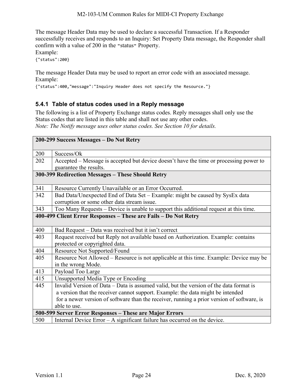The message Header Data may be used to declare a successful Transaction. If a Responder successfully receives and responds to an Inquiry: Set Property Data message, the Responder shall confirm with a value of 200 in the "status" Property.

Example:

{"status":200}

The message Header Data may be used to report an error code with an associated message. Example:

{"status":400,"message":"Inquiry Header does not specify the Resource."}

#### <span id="page-23-0"></span>**5.4.1 Table of status codes used in a Reply message**

The following is a list of Property Exchange status codes. Reply messages shall only use the Status codes that are listed in this table and shall not use any other codes. *Note: The Notify message uses other status codes. See Section [10](#page-44-0) for details.*

|     | 200-299 Success Messages - Do Not Retry                                                    |
|-----|--------------------------------------------------------------------------------------------|
|     |                                                                                            |
| 200 | Success/Ok                                                                                 |
| 202 | Accepted – Message is accepted but device doesn't have the time or processing power to     |
|     | guarantee the results.                                                                     |
|     | 300-399 Redirection Messages - These Should Retry                                          |
|     |                                                                                            |
| 341 | Resource Currently Unavailable or an Error Occurred.                                       |
| 342 | Bad Data/Unexpected End of Data Set – Example: might be caused by SysEx data               |
|     | corruption or some other data stream issue.                                                |
| 343 | Too Many Requests – Device is unable to support this additional request at this time.      |
|     | 400-499 Client Error Responses - These are Fails - Do Not Retry                            |
|     |                                                                                            |
| 400 | Bad Request - Data was received but it isn't correct                                       |
| 403 | Request received but Reply not available based on Authorization. Example: contains         |
|     | protected or copyrighted data.                                                             |
| 404 | Resource Not Supported/Found                                                               |
| 405 | Resource Not Allowed – Resource is not applicable at this time. Example: Device may be     |
|     | in the wrong Mode.                                                                         |
| 413 | Payload Too Large                                                                          |
| 415 | Unsupported Media Type or Encoding                                                         |
| 445 | Invalid Version of Data - Data is assumed valid, but the version of the data format is     |
|     | a version that the receiver cannot support. Example: the data might be intended            |
|     | for a newer version of software than the receiver, running a prior version of software, is |
|     | able to use.                                                                               |
|     | 500-599 Server Error Responses - These are Major Errors                                    |
| 500 | Internal Device Error $-$ A significant failure has occurred on the device.                |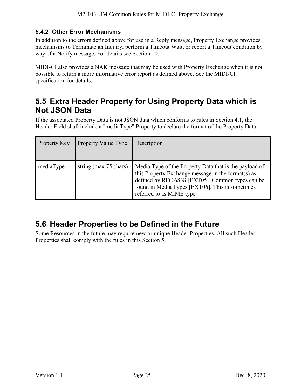#### <span id="page-24-0"></span>**5.4.2 Other Error Mechanisms**

In addition to the errors defined above for use in a Reply message, Property Exchange provides mechanisms to Terminate an Inquiry, perform a Timeout Wait, or report a Timeout condition by way of a Notify message. For details see Section [10.](#page-44-0)

MIDI-CI also provides a NAK message that may be used with Property Exchange when it is not possible to return a more informative error report as defined above. See the MIDI-CI specification for details.

### <span id="page-24-1"></span>**5.5 Extra Header Property for Using Property Data which is Not JSON Data**

If the associated Property Data is not JSON data which conforms to rules in Section [4.1,](#page-17-1) the Header Field shall include a "mediaType" Property to declare the format of the Property Data.

| Property Key | Property Value Type   | Description                                                                                                                                                                                                                                      |
|--------------|-----------------------|--------------------------------------------------------------------------------------------------------------------------------------------------------------------------------------------------------------------------------------------------|
| mediaType    | string (max 75 chars) | Media Type of the Property Data that is the payload of<br>this Property Exchange message in the format(s) as<br>defined by RFC 6838 [EXT05]. Common types can be<br>found in Media Types [EXT06]. This is sometimes<br>referred to as MIME type. |

### <span id="page-24-2"></span>**5.6 Header Properties to be Defined in the Future**

Some Resources in the future may require new or unique Header Properties. All such Header Properties shall comply with the rules in this Section [5.](#page-21-0)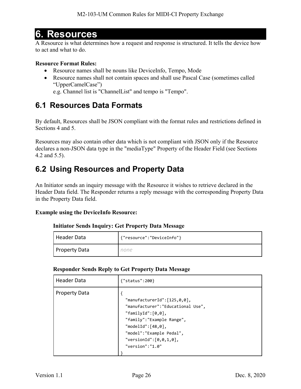# <span id="page-25-0"></span>**6. Resources**

A Resource is what determines how a request and response is structured. It tells the device how to act and what to do.

#### **Resource Format Rules:**

- Resource names shall be nouns like DeviceInfo, Tempo, Mode
- Resource names shall not contain spaces and shall use Pascal Case (sometimes called "UpperCamelCase")
	- e.g. Channel list is "ChannelList" and tempo is "Tempo".

### <span id="page-25-1"></span>**6.1 Resources Data Formats**

By default, Resources shall be JSON compliant with the format rules and restrictions defined in Sections [4](#page-17-0) and [5.](#page-21-0)

Resources may also contain other data which is not compliant with JSON only if the Resource declares a non-JSON data type in the "mediaType" Property of the Header Field (see Sections [4.2](#page-18-2) and [5.5\)](#page-24-1).

### <span id="page-25-2"></span>**6.2 Using Resources and Property Data**

An Initiator sends an inquiry message with the Resource it wishes to retrieve declared in the Header Data field. The Responder returns a reply message with the corresponding Property Data in the Property Data field.

#### **Example using the DeviceInfo Resource:**

#### **Initiator Sends Inquiry: Get Property Data Message**

| Header Data   | {"resource":"DeviceInfo"} |
|---------------|---------------------------|
| Property Data | none                      |

#### **Responder Sends Reply to Get Property Data Message**

| <b>Header Data</b>   | {"status":200}                                                                                                                                                                                                                          |
|----------------------|-----------------------------------------------------------------------------------------------------------------------------------------------------------------------------------------------------------------------------------------|
| <b>Property Data</b> | "manufacturerId": $[125, 0, 0]$ ,<br>"manufacturer": "Educational Use",<br>"familyId": $[0,0]$ ,<br>"family":"Example Range",<br>"modelId": $[48, 0]$ ,<br>"model":"Example Pedal",<br>"versionId": $[0, 0, 1, 0]$ ,<br>"version":"1.0" |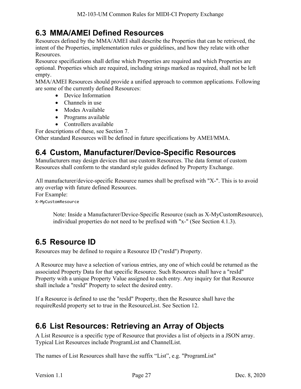### <span id="page-26-0"></span>**6.3 MMA/AMEI Defined Resources**

Resources defined by the MMA/AMEI shall describe the Properties that can be retrieved, the intent of the Properties, implementation rules or guidelines, and how they relate with other Resources.

Resource specifications shall define which Properties are required and which Properties are optional. Properties which are required, including strings marked as required, shall not be left empty.

MMA/AMEI Resources should provide a unified approach to common applications. Following are some of the currently defined Resources:

- Device Information
	- Channels in use
- Modes Available
- Programs available
- Controllers available

For descriptions of these, see Section [7.](#page-30-0)

Other standard Resources will be defined in future specifications by AMEI/MMA.

### <span id="page-26-1"></span>**6.4 Custom, Manufacturer/Device-Specific Resources**

Manufacturers may design devices that use custom Resources. The data format of custom Resources shall conform to the standard style guides defined by Property Exchange.

All manufacturer/device-specific Resource names shall be prefixed with "X-". This is to avoid any overlap with future defined Resources. For Example: X-MyCustomResource

Note: Inside a Manufacturer/Device-Specific Resource (such as X-MyCustomResource), individual properties do not need to be prefixed with "x-" (See Section [4.1.3\)](#page-18-0).

### <span id="page-26-2"></span>**6.5 Resource ID**

Resources may be defined to require a Resource ID ("resId") Property.

A Resource may have a selection of various entries, any one of which could be returned as the associated Property Data for that specific Resource. Such Resources shall have a "resId" Property with a unique Property Value assigned to each entry. Any inquiry for that Resource shall include a "resId" Property to select the desired entry.

If a Resource is defined to use the "resId" Property, then the Resource shall have the requireResId property set to true in the ResourceList. See Section [12.](#page-50-0)

### <span id="page-26-3"></span>**6.6 List Resources: Retrieving an Array of Objects**

A List Resource is a specific type of Resource that provides a list of objects in a JSON array. Typical List Resources include ProgramList and ChannelList.

The names of List Resources shall have the suffix "List", e.g. "ProgramList"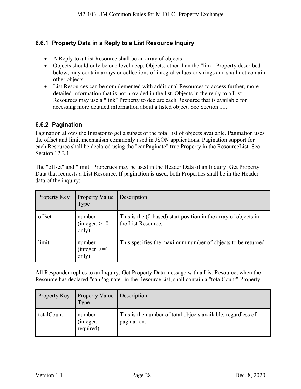#### <span id="page-27-0"></span>**6.6.1 Property Data in a Reply to a List Resource Inquiry**

- A Reply to a List Resource shall be an array of objects
- Objects should only be one level deep. Objects, other than the "link" Property described below, may contain arrays or collections of integral values or strings and shall not contain other objects.
- List Resources can be complemented with additional Resources to access further, more detailed information that is not provided in the list. Objects in the reply to a List Resources may use a "link" Property to declare each Resource that is available for accessing more detailed information about a listed object. See Section [11.](#page-46-0)

#### <span id="page-27-1"></span>**6.6.2 Pagination**

Pagination allows the Initiator to get a subset of the total list of objects available. Pagination uses the offset and limit mechanism commonly used in JSON applications. Pagination support for each Resource shall be declared using the "canPaginate":true Property in the ResourceList. See Section [12.2.1.](#page-51-0)

The "offset" and "limit" Properties may be used in the Header Data of an Inquiry: Get Property Data that requests a List Resource. If pagination is used, both Properties shall be in the Header data of the inquiry:

| Property Key | <b>Property Value</b><br>Type       | Description                                                                           |
|--------------|-------------------------------------|---------------------------------------------------------------------------------------|
| offset       | number<br>$(integer, >=0)$<br>only) | This is the (0-based) start position in the array of objects in<br>the List Resource. |
| limit        | number<br>$(integer, >=1)$<br>only) | This specifies the maximum number of objects to be returned.                          |

All Responder replies to an Inquiry: Get Property Data message with a List Resource, when the Resource has declared "canPaginate" in the ResourceList, shall contain a "totalCount" Property:

| Property Key | <b>Property Value</b><br>Type    | Description                                                                 |
|--------------|----------------------------------|-----------------------------------------------------------------------------|
| totalCount   | number<br>(integer,<br>required) | This is the number of total objects available, regardless of<br>pagination. |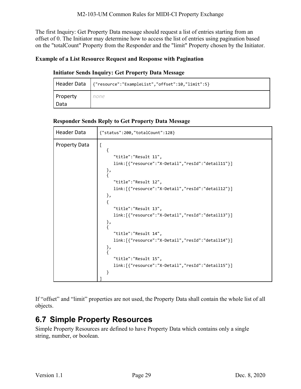The first Inquiry: Get Property Data message should request a list of entries starting from an offset of 0. The Initiator may determine how to access the list of entries using pagination based on the "totalCount" Property from the Responder and the "limit" Property chosen by the Initiator.

#### **Example of a List Resource Request and Response with Pagination**

#### **Initiator Sends Inquiry: Get Property Data Message**

|                 | Header Data   {"resource":"ExampleList","offset":10,"limit":5} |
|-----------------|----------------------------------------------------------------|
| <b>Property</b> | none                                                           |
| Data            |                                                                |

#### **Responder Sends Reply to Get Property Data Message**

| Header Data          | {"status":200,"totalCount":128}                                                                                                                                                                                                                                            |
|----------------------|----------------------------------------------------------------------------------------------------------------------------------------------------------------------------------------------------------------------------------------------------------------------------|
| <b>Property Data</b> | $\mathbf{r}$<br>i.<br>"title":"Result 11",<br>link:[{"resource":"X-Detail","resId":"detail11"}]<br>},<br>"title":"Result 12",<br>link:[{"resource":"X-Detail","resId":"detail12"}]<br>},<br>ſ<br>"title":"Result 13",<br>link:[{"resource":"X-Detail","resId":"detail13"}] |
|                      | },<br>"title": "Result 14",<br>link:[{"resource":"X-Detail","resId":"detail14"}]<br>},<br>"title":"Result 15",<br>link:[{"resource":"X-Detail","resId":"detail15"}]<br>ł                                                                                                   |

If "offset" and "limit" properties are not used, the Property Data shall contain the whole list of all objects.

### <span id="page-28-0"></span>**6.7 Simple Property Resources**

Simple Property Resources are defined to have Property Data which contains only a single string, number, or boolean.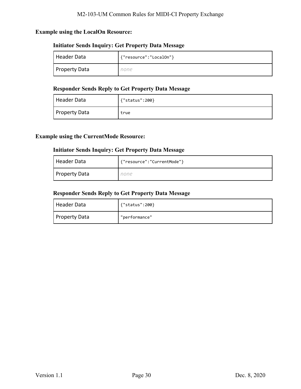#### **Example using the LocalOn Resource:**

#### **Initiator Sends Inquiry: Get Property Data Message**

| Header Data          | {"resource":"LocalOn"} |
|----------------------|------------------------|
| <b>Property Data</b> | ıone                   |

#### **Responder Sends Reply to Get Property Data Message**

| Header Data          | {"status":200} |
|----------------------|----------------|
| <b>Property Data</b> | true           |

#### **Example using the CurrentMode Resource:**

#### **Initiator Sends Inquiry: Get Property Data Message**

| Header Data          | {"resource":"CurrentMode"} |
|----------------------|----------------------------|
| <b>Property Data</b> | none                       |

#### **Responder Sends Reply to Get Property Data Message**

| Header Data   | {"status":200} |
|---------------|----------------|
| Property Data | "performance"  |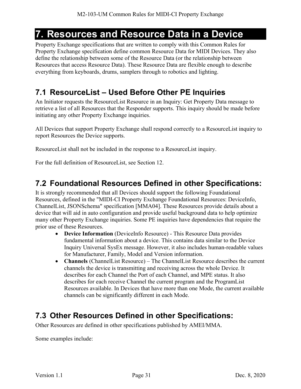## <span id="page-30-0"></span>**7. Resources and Resource Data in a Device**

Property Exchange specifications that are written to comply with this Common Rules for Property Exchange specification define common Resource Data for MIDI Devices. They also define the relationship between some of the Resource Data (or the relationship between Resources that access Resource Data). These Resource Data are flexible enough to describe everything from keyboards, drums, samplers through to robotics and lighting.

### <span id="page-30-1"></span>**7.1 ResourceList – Used Before Other PE Inquiries**

An Initiator requests the ResourceList Resource in an Inquiry: Get Property Data message to retrieve a list of all Resources that the Responder supports. This inquiry should be made before initiating any other Property Exchange inquiries.

All Devices that support Property Exchange shall respond correctly to a ResourceList inquiry to report Resources the Device supports.

ResourceList shall not be included in the response to a ResourceList inquiry.

For the full definition of ResourceList, see Section [12.](#page-50-0)

### <span id="page-30-2"></span>**7.2 Foundational Resources Defined in other Specifications:**

It is strongly recommended that all Devices should support the following Foundational Resources, defined in the "MIDI-CI Property Exchange Foundational Resources: DeviceInfo, ChannelList, JSONSchema" specification [\[MMA04\].](#page-6-7) These Resources provide details about a device that will aid in auto configuration and provide useful background data to help optimize many other Property Exchange inquiries. Some PE inquiries have dependencies that require the prior use of these Resources.

- **Device Information** (DeviceInfo Resource) This Resource Data provides fundamental information about a device. This contains data similar to the Device Inquiry Universal SysEx message. However, it also includes human-readable values for Manufacturer, Family, Model and Version information.
- **Channels** (ChannelList Resource) The ChannelList Resource describes the current channels the device is transmitting and receiving across the whole Device. It describes for each Channel the Port of each Channel, and MPE status. It also describes for each receive Channel the current program and the ProgramList Resources available. In Devices that have more than one Mode, the current available channels can be significantly different in each Mode.

### <span id="page-30-3"></span>**7.3 Other Resources Defined in other Specifications:**

Other Resources are defined in other specifications published by AMEI/MMA.

Some examples include: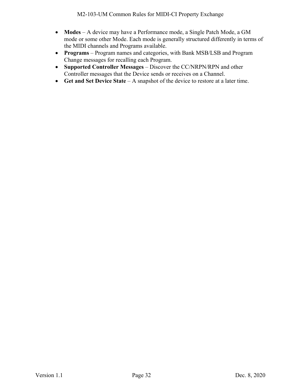- **Modes** A device may have a Performance mode, a Single Patch Mode, a GM mode or some other Mode. Each mode is generally structured differently in terms of the MIDI channels and Programs available.
- **Programs** Program names and categories, with Bank MSB/LSB and Program Change messages for recalling each Program.
- **Supported Controller Messages** Discover the CC/NRPN/RPN and other Controller messages that the Device sends or receives on a Channel.
- **Get and Set Device State** A snapshot of the device to restore at a later time.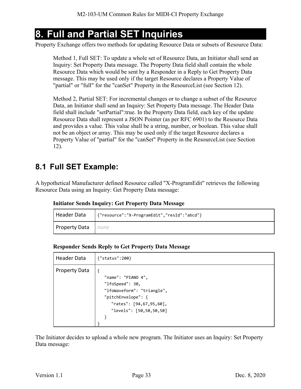# <span id="page-32-0"></span>**8. Full and Partial SET Inquiries**

Property Exchange offers two methods for updating Resource Data or subsets of Resource Data:

Method 1, Full SET: To update a whole set of Resource Data, an Initiator shall send an Inquiry: Set Property Data message. The Property Data field shall contain the whole Resource Data which would be sent by a Responder in a Reply to Get Property Data message. This may be used only if the target Resource declares a Property Value of "partial" or "full" for the "canSet" Property in the ResourceList (see Section [12\)](#page-50-0).

Method 2, Partial SET: For incremental changes or to change a subset of the Resource Data, an Initiator shall send an Inquiry: Set Property Data message. The Header Data field shall include "setPartial":true. In the Property Data field, each key of the update Resource Data shall represent a JSON Pointer (as per RFC 6901) to the Resource Data and provides a value. This value shall be a string, number, or boolean. This value shall not be an object or array. This may be used only if the target Resource declares a Property Value of "partial" for the "canSet" Property in the ResourceList (see Section [12\)](#page-50-0).

### <span id="page-32-1"></span>**8.1 Full SET Example:**

A hypothetical Manufacturer defined Resource called "X-ProgramEdit" retrieves the following Resource Data using an Inquiry: Get Property Data message:

**Initiator Sends Inquiry: Get Property Data Message**

| Header Data   | '{"resource":"X-ProgramEdit","resId":"abcd"} |
|---------------|----------------------------------------------|
| Property Data | none                                         |

**Responder Sends Reply to Get Property Data Message** 

| Header Data          | {"status":200}                                                                                                                                  |
|----------------------|-------------------------------------------------------------------------------------------------------------------------------------------------|
| <b>Property Data</b> | "name": "PIANO 4",<br>"lfoSpeed": 30,<br>"lfoWaveform": "triangle",<br>"pitchEnvelope": {<br>"rates": [94,67,95,60],<br>"levels": [50,50,50,50] |

The Initiator decides to upload a whole new program. The Initiator uses an Inquiry: Set Property Data message: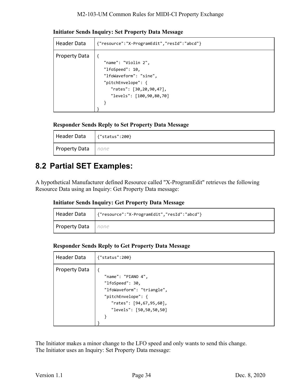| Header Data          | {"resource":"X-ProgramEdit","resId":"abcd"} |
|----------------------|---------------------------------------------|
|                      |                                             |
| <b>Property Data</b> |                                             |
|                      | "name": "Violin 2",                         |
|                      | "lfoSpeed": 10,                             |
|                      | "lfoWaveform": "sine",                      |
|                      | "pitchEnvelope": {                          |
|                      | "rates": $[30, 20, 90, 47]$ ,               |
|                      | "levels": [100,90,80,70]                    |
|                      |                                             |
|                      |                                             |

**Initiator Sends Inquiry: Set Property Data Message**

#### **Responder Sends Reply to Set Property Data Message**

| Header Data   | $\{$ "status":200} |
|---------------|--------------------|
| Property Data | none               |

### <span id="page-33-0"></span>**8.2 Partial SET Examples:**

A hypothetical Manufacturer defined Resource called "X-ProgramEdit" retrieves the following Resource Data using an Inquiry: Get Property Data message:

|  |  | <b>Initiator Sends Inquiry: Get Property Data Message</b> |  |
|--|--|-----------------------------------------------------------|--|
|  |  |                                                           |  |

| Header Data               | {"resource":"X-ProgramEdit","resId":"abcd"} |
|---------------------------|---------------------------------------------|
| <b>Property Data</b> none |                                             |

**Responder Sends Reply to Get Property Data Message** 

| Header Data          | {"status":200}                                                                                                                                  |
|----------------------|-------------------------------------------------------------------------------------------------------------------------------------------------|
| <b>Property Data</b> | "name": "PIANO 4",<br>"lfoSpeed": 30,<br>"lfoWaveform": "triangle",<br>"pitchEnvelope": {<br>"rates": [94,67,95,60],<br>"levels": [50,50,50,50] |

The Initiator makes a minor change to the LFO speed and only wants to send this change. The Initiator uses an Inquiry: Set Property Data message: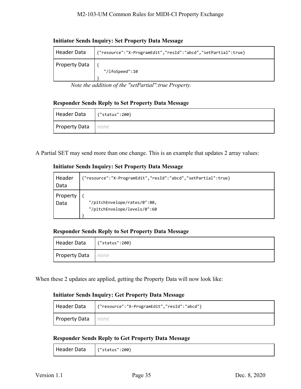| Header Data          | {"resource":"X-ProgramEdit","resId":"abcd","setPartial":true} |
|----------------------|---------------------------------------------------------------|
| <b>Property Data</b> | "/lfoSpeed":10                                                |

#### **Initiator Sends Inquiry: Set Property Data Message**

*Note the addition of the "setPartial":true Property.*

#### **Responder Sends Reply to Set Property Data Message**

| Header Data   | '{"status":200} |  |
|---------------|-----------------|--|
| Property Data | none            |  |

A Partial SET may send more than one change. This is an example that updates 2 array values:

#### **Initiator Sends Inquiry: Set Property Data Message**

| Header<br>Data | {"resource":"X-ProgramEdit","resId":"abcd","setPartial":true} |
|----------------|---------------------------------------------------------------|
| Property       | "/pitchEnvelope/rates/0":80,                                  |
| Data           | "/pitchEnvelope/levels/0":60                                  |

#### **Responder Sends Reply to Set Property Data Message**

| Header Data          | {"status":200} |
|----------------------|----------------|
| <b>Property Data</b> | <i>none</i>    |

When these 2 updates are applied, getting the Property Data will now look like:

#### **Initiator Sends Inquiry: Get Property Data Message**

| Header Data                 | '{"resource":"X-ProgramEdit","resId":"abcd"} |
|-----------------------------|----------------------------------------------|
| <b>Property Data</b>   none |                                              |

#### **Responder Sends Reply to Get Property Data Message**

| Header Data | $\left\{$ "status":200} |
|-------------|-------------------------|
|-------------|-------------------------|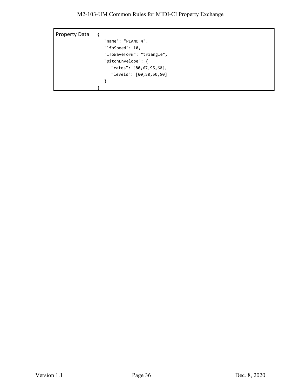| <b>Property Data</b> |                               |
|----------------------|-------------------------------|
|                      | "name": "PIANO 4",            |
|                      | "lfoSpeed": $10,$             |
|                      | "lfoWaveform": "triangle",    |
|                      | "pitchEnvelope": {            |
|                      | "rates": $[80, 67, 95, 60]$ , |
|                      | "levels": [60,50,50,50]       |
|                      |                               |
|                      |                               |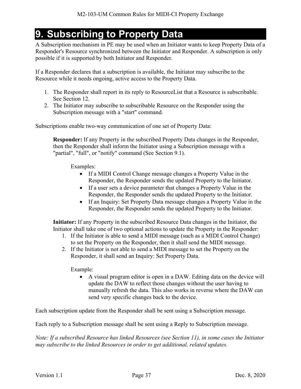# <span id="page-36-0"></span>**9. Subscribing to Property Data**

A Subscription mechanism in PE may be used when an Initiator wants to keep Property Data of a Responder's Resource synchronized between the Initiator and Responder. A subscription is only possible if it is supported by both Initiator and Responder.

If a Responder declares that a subscription is available, the Initiator may subscribe to the Resource while it needs ongoing, active access to the Property Data.

- 1. The Responder shall report in its reply to ResourceList that a Resource is subscribable. See Section [12.](#page-50-0)
- 2. The Initiator may subscribe to subscribable Resource on the Responder using the Subscription message with a "start" command.

Subscriptions enable two-way communication of one set of Property Data:

**Responder:** If any Property in the subscribed Property Data changes in the Responder, then the Responder shall inform the Initiator using a Subscription message with a "partial", "full", or "notify" command (See Section [9.1\)](#page-37-0).

Examples:

- If a MIDI Control Change message changes a Property Value in the Responder, the Responder sends the updated Property to the Initiator.
- If a user sets a device parameter that changes a Property Value in the Responder, the Responder sends the updated Property to the Initiator.
- If an Inquiry: Set Property Data message changes a Property Value in the Responder, the Responder sends the updated Property to the Initiator.

**Initiator:** If any Property in the subscribed Resource Data changes in the Initiator, the Initiator shall take one of two optional actions to update the Property in the Responder:

- 1. If the Initiator is able to send a MIDI message (such as a MIDI Control Change) to set the Property on the Responder, then it shall send the MIDI message.
- 2. If the Initiator is not able to send a MIDI message to set the Property on the Responder, it shall send an Inquiry: Set Property Data.

Example:

• A visual program editor is open in a DAW. Editing data on the device will update the DAW to reflect those changes without the user having to manually refresh the data. This also works in reverse where the DAW can send very specific changes back to the device.

Each subscription update from the Responder shall be sent using a Subscription message.

Each reply to a Subscription message shall be sent using a Reply to Subscription message.

*Note: If a subscribed Resource has linked Resources (see Section [11\)](#page-46-0), in some cases the Initiator may subscribe to the linked Resources in order to get additional, related updates.*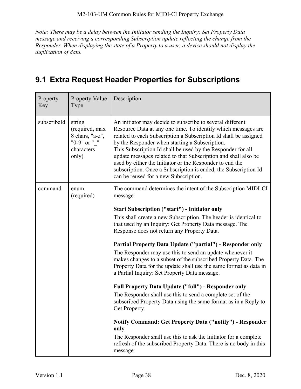*Note: There may be a delay between the Initiator sending the Inquiry: Set Property Data message and receiving a corresponding Subscription update reflecting the change from the Responder. When displaying the state of a Property to a user, a device should not display the duplication of data.* 

### <span id="page-37-0"></span>**9.1 Extra Request Header Properties for Subscriptions**

| Property<br>Key | <b>Property Value</b><br>Type                                                      | Description                                                                                                                                                                                                                                                                                                                                                                                                                                                                                                                                               |
|-----------------|------------------------------------------------------------------------------------|-----------------------------------------------------------------------------------------------------------------------------------------------------------------------------------------------------------------------------------------------------------------------------------------------------------------------------------------------------------------------------------------------------------------------------------------------------------------------------------------------------------------------------------------------------------|
| subscribeId     | string<br>(required, max<br>8 chars, "a-z",<br>"0-9" or " "<br>characters<br>only) | An initiator may decide to subscribe to several different<br>Resource Data at any one time. To identify which messages are<br>related to each Subscription a Subscription Id shall be assigned<br>by the Responder when starting a Subscription.<br>This Subscription Id shall be used by the Responder for all<br>update messages related to that Subscription and shall also be<br>used by either the Initiator or the Responder to end the<br>subscription. Once a Subscription is ended, the Subscription Id<br>can be reused for a new Subscription. |
| command         | enum<br>(required)                                                                 | The command determines the intent of the Subscription MIDI-CI<br>message                                                                                                                                                                                                                                                                                                                                                                                                                                                                                  |
|                 |                                                                                    | <b>Start Subscription ("start") - Initiator only</b><br>This shall create a new Subscription. The header is identical to<br>that used by an Inquiry: Get Property Data message. The<br>Response does not return any Property Data.                                                                                                                                                                                                                                                                                                                        |
|                 |                                                                                    | Partial Property Data Update ("partial") - Responder only<br>The Responder may use this to send an update whenever it<br>makes changes to a subset of the subscribed Property Data. The<br>Property Data for the update shall use the same format as data in<br>a Partial Inquiry: Set Property Data message.                                                                                                                                                                                                                                             |
|                 |                                                                                    | <b>Full Property Data Update ("full") - Responder only</b><br>The Responder shall use this to send a complete set of the<br>subscribed Property Data using the same format as in a Reply to<br>Get Property.                                                                                                                                                                                                                                                                                                                                              |
|                 |                                                                                    | Notify Command: Get Property Data ("notify") - Responder<br>only<br>The Responder shall use this to ask the Initiator for a complete<br>refresh of the subscribed Property Data. There is no body in this<br>message.                                                                                                                                                                                                                                                                                                                                     |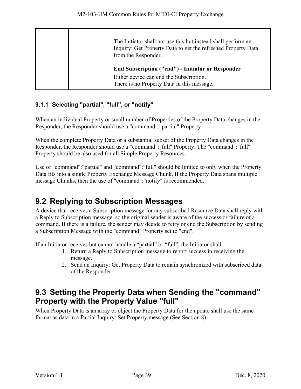|  | The Initiator shall not use this but instead shall perform an<br>Inquiry: Get Property Data to get the refreshed Property Data<br>from the Responder. |
|--|-------------------------------------------------------------------------------------------------------------------------------------------------------|
|  | <b>End Subscription ("end") - Initiator or Responder</b><br>Either device can end the Subscription.<br>There is no Property Data in this message.     |

#### <span id="page-38-0"></span>**9.1.1 Selecting "partial", "full", or "notify"**

When an individual Property or small number of Properties of the Property Data changes in the Responder, the Responder should use a "command":"partial" Property.

When the complete Property Data or a substantial subset of the Property Data changes in the Responder, the Responder should use a "command":"full" Property. The "command":"full" Property should be also used for all Simple Property Resources.

Use of "command":"partial" and "command":"full" should be limited to only when the Property Data fits into a single Property Exchange Message Chunk. If the Property Data spans multiple message Chunks, then the use of "command":"notify" is recommended.

### <span id="page-38-1"></span>**9.2 Replying to Subscription Messages**

A device that receives a Subscription message for any subscribed Resource Data shall reply with a Reply to Subscription message, so the original sender is aware of the success or failure of a command. If there is a failure, the sender may decide to retry or end the Subscription by sending a Subscription Message with the "command" Property set to "end".

If an Initiator receives but cannot handle a "partial" or "full", the Initiator shall:

- 1. Return a Reply to Subscription message to report success in receiving the message.
- 2. Send an Inquiry: Get Property Data to remain synchronized with subscribed data of the Responder.

### <span id="page-38-2"></span>**9.3 Setting the Property Data when Sending the "command" Property with the Property Value "full"**

When Property Data is an array or object the Property Data for the update shall use the same format as data in a Partial Inquiry: Set Property message (See Section [8\)](#page-32-0).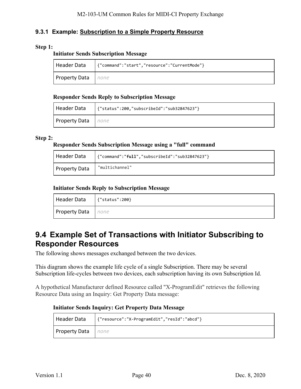#### <span id="page-39-0"></span>**9.3.1 Example: Subscription to a Simple Property Resource**

#### **Step 1:**

#### **Initiator Sends Subscription Message**

| Header Data               | {"command":"start","resource":"CurrentMode"} |
|---------------------------|----------------------------------------------|
| <b>Property Data</b> none |                                              |

#### **Responder Sends Reply to Subscription Message**

| Header Data   | '{"status":200,"subscribeId":"sub32847623"} |
|---------------|---------------------------------------------|
| Property Data | none                                        |

#### **Step 2:**

#### **Responder Sends Subscription Message using a "full" command**

| Header Data          | {"command":"full","subscribeId":"sub32847623"} |
|----------------------|------------------------------------------------|
| <b>Property Data</b> | "multichannel"                                 |

#### **Initiator Sends Reply to Subscription Message**

| Header Data               | {"status":200} |
|---------------------------|----------------|
| <b>Property Data</b> none |                |

### <span id="page-39-1"></span>**9.4 Example Set of Transactions with Initiator Subscribing to Responder Resources**

The following shows messages exchanged between the two devices.

This diagram shows the example life cycle of a single Subscription. There may be several Subscription life-cycles between two devices, each subscription having its own Subscription Id.

A hypothetical Manufacturer defined Resource called "X-ProgramEdit" retrieves the following Resource Data using an Inquiry: Get Property Data message:

#### **Initiator Sends Inquiry: Get Property Data Message**

| Header Data               | {"resource":"X-ProgramEdit","resId":"abcd"} |
|---------------------------|---------------------------------------------|
| <b>Property Data</b> none |                                             |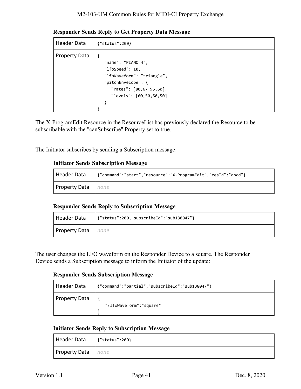#### M2-103-UM Common Rules for MIDI-CI Property Exchange

**Responder Sends Reply to Get Property Data Message** 

| <b>Header Data</b>   | ${``status":200}$                                                                                                                                       |
|----------------------|---------------------------------------------------------------------------------------------------------------------------------------------------------|
| <b>Property Data</b> | "name": "PIANO 4",<br>"lfoSpeed": $10,$<br>"lfoWaveform": "triangle",<br>"pitchEnvelope": {<br>"rates": $[80, 67, 95, 60]$ ,<br>"levels": [60,50,50,50] |

The X-ProgramEdit Resource in the ResourceList has previously declared the Resource to be subscribable with the "canSubscribe" Property set to true.

The Initiator subscribes by sending a Subscription message:

#### **Initiator Sends Subscription Message**

|                    | Header Data     {"command":"start","resource":"X-ProgramEdit","resId":"abcd"} |
|--------------------|-------------------------------------------------------------------------------|
| Property Data none |                                                                               |

#### **Responder Sends Reply to Subscription Message**

| Header Data                 | {"status":200,"subscribeId":"sub138047"} |
|-----------------------------|------------------------------------------|
| <b>I Property Data</b> none |                                          |

The user changes the LFO waveform on the Responder Device to a square. The Responder Device sends a Subscription message to inform the Initiator of the update:

#### **Responder Sends Subscription Message**

| Header Data          | {"command":"partial","subscribeId":"sub138047"} |
|----------------------|-------------------------------------------------|
| <b>Property Data</b> | "/lfoWaveform":"square"                         |

#### **Initiator Sends Reply to Subscription Message**

| Header Data          | $\{$ "status":200} |
|----------------------|--------------------|
| <b>Property Data</b> | none               |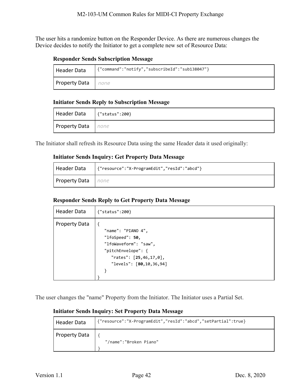The user hits a randomize button on the Responder Device. As there are numerous changes the Device decides to notify the Initiator to get a complete new set of Resource Data:

#### **Responder Sends Subscription Message**

| Header Data   | {"command":"notify","subscribeId":"sub138047"} |
|---------------|------------------------------------------------|
| Property Data | none                                           |

#### **Initiator Sends Reply to Subscription Message**

| Header Data               | $\{$ "status":200} |
|---------------------------|--------------------|
| <b>Property Data</b> none |                    |

The Initiator shall refresh its Resource Data using the same Header data it used originally:

#### **Initiator Sends Inquiry: Get Property Data Message**

| Header Data   | {"resource":"X-ProgramEdit","resId":"abcd"} |
|---------------|---------------------------------------------|
| Property Data | none                                        |

#### **Responder Sends Reply to Get Property Data Message**

| Header Data          | ${''}status":200$                                                                                                                                 |
|----------------------|---------------------------------------------------------------------------------------------------------------------------------------------------|
| <b>Property Data</b> | "name": "PIANO 4",<br>"lfoSpeed": $50,$<br>"lfoWaveform": "saw",<br>"pitchEnvelope": {<br>"rates": $[25, 46, 17, 0]$ ,<br>"levels": [80,10,36,94] |

The user changes the "name" Property from the Initiator. The Initiator uses a Partial Set.

#### **Initiator Sends Inquiry: Set Property Data Message**

| Header Data          | {"resource":"X-ProgramEdit","resId":"abcd","setPartial":true} |
|----------------------|---------------------------------------------------------------|
| <b>Property Data</b> | "/name":"Broken Piano"                                        |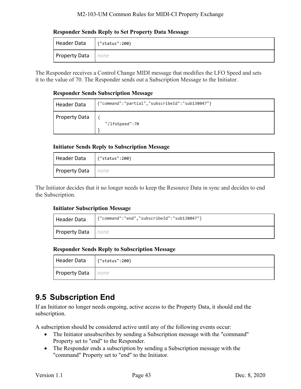#### M2-103-UM Common Rules for MIDI-CI Property Exchange

#### **Responder Sends Reply to Set Property Data Message**

| Header Data               | {"status":200} |
|---------------------------|----------------|
| <b>Property Data</b> none |                |

The Responder receives a Control Change MIDI message that modifies the LFO Speed and sets it to the value of 70. The Responder sends out a Subscription Message to the Initiator.

#### **Responder Sends Subscription Message**

| Header Data          | {"command":"partial","subscribeId":"sub138047"} |  |
|----------------------|-------------------------------------------------|--|
| <b>Property Data</b> | "/lfoSpeed":70                                  |  |

#### **Initiator Sends Reply to Subscription Message**

| Header Data          | $\{$ "status":200} |
|----------------------|--------------------|
| <b>Property Data</b> | none               |

The Initiator decides that it no longer needs to keep the Resource Data in sync and decides to end the Subscription.

#### **Initiator Subscription Message**

| Header Data               | {"command":"end","subscribeId":"sub138047"} |
|---------------------------|---------------------------------------------|
| <b>Property Data</b> none |                                             |

#### **Responder Sends Reply to Subscription Message**

| Header Data          | {"status":200} |  |
|----------------------|----------------|--|
| <b>Property Data</b> | none           |  |

### <span id="page-42-0"></span>**9.5 Subscription End**

If an Initiator no longer needs ongoing, active access to the Property Data, it should end the subscription.

A subscription should be considered active until any of the following events occur:

- The Initiator unsubscribes by sending a Subscription message with the "command" Property set to "end" to the Responder.
- The Responder ends a subscription by sending a Subscription message with the "command" Property set to "end" to the Initiator.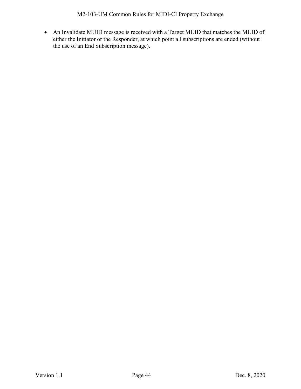• An Invalidate MUID message is received with a Target MUID that matches the MUID of either the Initiator or the Responder, at which point all subscriptions are ended (without the use of an End Subscription message).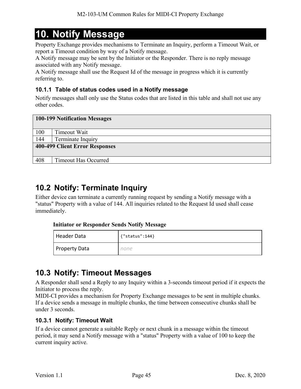# <span id="page-44-0"></span>**10. Notify Message**

Property Exchange provides mechanisms to Terminate an Inquiry, perform a Timeout Wait, or report a Timeout condition by way of a Notify message.

A Notify message may be sent by the Initiator or the Responder. There is no reply message associated with any Notify message.

A Notify message shall use the Request Id of the message in progress which it is currently referring to.

#### <span id="page-44-1"></span>**10.1.1 Table of status codes used in a Notify message**

Notify messages shall only use the Status codes that are listed in this table and shall not use any other codes.

| 100-199 Notification Messages  |                             |  |
|--------------------------------|-----------------------------|--|
| 100                            | Timeout Wait                |  |
| 144                            | Terminate Inquiry           |  |
| 400-499 Client Error Responses |                             |  |
| 408                            | <b>Timeout Has Occurred</b> |  |

### <span id="page-44-2"></span>**10.2 Notify: Terminate Inquiry**

Either device can terminate a currently running request by sending a Notify message with a "status" Property with a value of 144. All inquiries related to the Request Id used shall cease immediately.

#### **Initiator or Responder Sends Notify Message**

| Header Data          | ${ "status":144}$ |
|----------------------|-------------------|
| <b>Property Data</b> | none              |

### <span id="page-44-3"></span>**10.3 Notify: Timeout Messages**

A Responder shall send a Reply to any Inquiry within a 3-seconds timeout period if it expects the Initiator to process the reply.

MIDI-CI provides a mechanism for Property Exchange messages to be sent in multiple chunks. If a device sends a message in multiple chunks, the time between consecutive chunks shall be under 3 seconds.

#### <span id="page-44-4"></span>**10.3.1 Notify: Timeout Wait**

If a device cannot generate a suitable Reply or next chunk in a message within the timeout period, it may send a Notify message with a "status" Property with a value of 100 to keep the current inquiry active.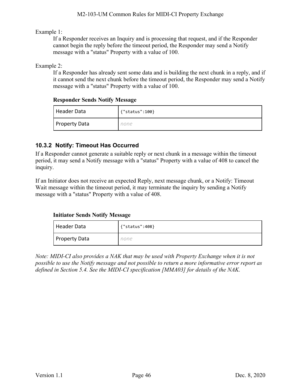Example 1:

If a Responder receives an Inquiry and is processing that request, and if the Responder cannot begin the reply before the timeout period, the Responder may send a Notify message with a "status" Property with a value of 100.

Example 2:

If a Responder has already sent some data and is building the next chunk in a reply, and if it cannot send the next chunk before the timeout period, the Responder may send a Notify message with a "status" Property with a value of 100.

#### **Responder Sends Notify Message**

| Header Data   | {"status":100} |
|---------------|----------------|
| Property Data | none           |

#### <span id="page-45-0"></span>**10.3.2 Notify: Timeout Has Occurred**

If a Responder cannot generate a suitable reply or next chunk in a message within the timeout period, it may send a Notify message with a "status" Property with a value of 408 to cancel the inquiry.

If an Initiator does not receive an expected Reply, next message chunk, or a Notify: Timeout Wait message within the timeout period, it may terminate the inquiry by sending a Notify message with a "status" Property with a value of 408.

#### **Initiator Sends Notify Message**

| Header Data          | {"status":408} |
|----------------------|----------------|
| <b>Property Data</b> | none           |

*Note: MIDI-CI also provides a NAK that may be used with Property Exchange when it is not possible to use the Notify message and not possible to return a more informative error report as defined in Section [5.4.](#page-22-1) See the MIDI-CI specification [\[MMA03\]](#page-6-0) for details of the NAK.*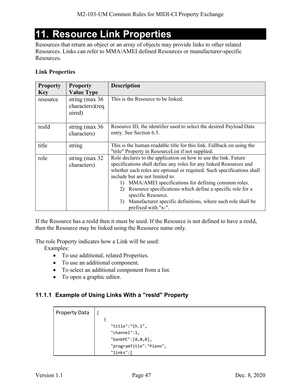# <span id="page-46-0"></span>**11. Resource Link Properties**

Resources that return an object or an array of objects may provide links to other related Resources. Links can refer to MMA/AMEI defined Resources or manufacturer-specific Resources.

#### **Link Properties**

| <b>Property</b> | <b>Property</b>                               | <b>Description</b>                                                                                                                                                                                                                                                                                                                                                                                                                                                                                   |
|-----------------|-----------------------------------------------|------------------------------------------------------------------------------------------------------------------------------------------------------------------------------------------------------------------------------------------------------------------------------------------------------------------------------------------------------------------------------------------------------------------------------------------------------------------------------------------------------|
| <b>Key</b>      | <b>Value Type</b>                             |                                                                                                                                                                                                                                                                                                                                                                                                                                                                                                      |
| resource        | string (max $36$<br>characters)(req<br>uired) | This is the Resource to be linked.                                                                                                                                                                                                                                                                                                                                                                                                                                                                   |
| resId           | string ( $max 36$<br>characters)              | Resource ID, the identifier used to select the desired Payload Data<br>entry. See Section 6.5.                                                                                                                                                                                                                                                                                                                                                                                                       |
| title           | string                                        | This is the human readable title for this link. Fallback on using the<br>"title" Property in ResourceList if not supplied.                                                                                                                                                                                                                                                                                                                                                                           |
| role            | string (max $32$<br>characters)               | Role declares to the application on how to use the link. Future<br>specifications shall define any roles for any linked Resources and<br>whether such roles are optional or required. Such specifications shall<br>include but are not limited to:<br>MMA/AMEI specifications for defining common roles.<br>1)<br>Resource specifications which define a specific role for a<br>2)<br>specific Resource.<br>Manufacturer specific definitions, where such role shall be<br>3)<br>prefixed with "x-". |

If the Resource has a resId then it must be used. If the Resource is not defined to have a resId, then the Resource may be linked using the Resource name only.

The role Property indicates how a Link will be used:

Examples:

- To use additional, related Properties.
- To use an additional component.
- To select an additional component from a list.
- To open a graphic editor.

#### <span id="page-46-1"></span>**11.1.1 Example of Using Links With a "resId" Property**

| <b>Property Data</b> |                         |
|----------------------|-------------------------|
|                      |                         |
|                      | "title":"Ch.1",         |
|                      | "channel":1,            |
|                      | "bankPC": $[0, 0, 0]$ , |
|                      | "programTitle":"Piano", |
|                      | "links":                |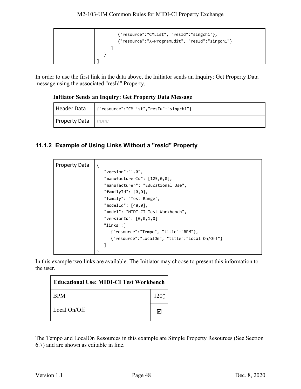| {"resource":"CMList", "resId":"singch1"},<br>{"resource":"X-ProgramEdit", "resId":"singch1"} |
|----------------------------------------------------------------------------------------------|
|                                                                                              |
|                                                                                              |
|                                                                                              |
|                                                                                              |

In order to use the first link in the data above, the Initiator sends an Inquiry: Get Property Data message using the associated "resId" Property.

#### **Initiator Sends an Inquiry: Get Property Data Message**

| Header Data               | {"resource":"CMList","resId":"singch1"} |
|---------------------------|-----------------------------------------|
| <b>Property Data</b> none |                                         |

#### <span id="page-47-0"></span>**11.1.2 Example of Using Links Without a "resId" Property**

| <b>Property Data</b> | $\{$                                           |
|----------------------|------------------------------------------------|
|                      | "version": "1.0",                              |
|                      | "manufacturerId": [125,0,0],                   |
|                      | "manufacturer": "Educational Use",             |
|                      | "familyId": $[0,0]$ ,                          |
|                      | "family": "Test Range",                        |
|                      | "modelId": $[48, 0]$ ,                         |
|                      | "model": "MIDI-CI Test Workbench",             |
|                      | "versionId": $[0, 0, 1, 0]$                    |
|                      | "links":[                                      |
|                      | {"resource":"Tempo", "title":"BPM"},           |
|                      | {"resource":"LocalOn", "title":"Local On/Off"} |
|                      |                                                |
|                      |                                                |

In this example two links are available. The Initiator may choose to present this information to the user.

| <b>Educational Use: MIDI-CI Test Workbench  </b> |                  |
|--------------------------------------------------|------------------|
| <b>BPM</b>                                       | 120 <sup>†</sup> |
| Local On/Off                                     | ☑                |

The Tempo and LocalOn Resources in this example are Simple Property Resources (See Section [6.7\)](#page-28-0) and are shown as editable in line.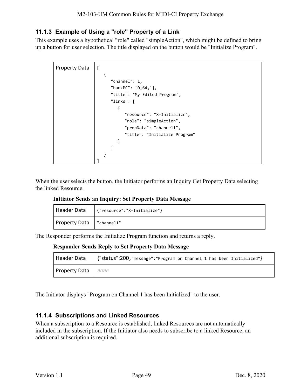#### <span id="page-48-0"></span>**11.1.3 Example of Using a "role" Property of a Link**

This example uses a hypothetical "role" called "simpleAction", which might be defined to bring up a button for user selection. The title displayed on the button would be "Initialize Program".

| <b>Property Data</b> |                               |
|----------------------|-------------------------------|
|                      |                               |
|                      | "channel": $1,$               |
|                      | "bankPC": $[0, 64, 1]$ ,      |
|                      | "title": "My Edited Program", |
|                      | "links": $\lceil$             |
|                      |                               |
|                      | "resource": "X-Initialize",   |
|                      | "role": "simpleAction",       |
|                      | "propData": "channel1",       |
|                      | "title": "Initialize Program" |
|                      | }                             |
|                      |                               |
|                      |                               |
|                      |                               |

When the user selects the button, the Initiator performs an Inquiry Get Property Data selecting the linked Resource.

#### **Initiator Sends an Inquiry: Set Property Data Message**

| Header Data          | {"resource":"X-Initialize"} |  |
|----------------------|-----------------------------|--|
| <b>Property Data</b> | "channel1"                  |  |

The Responder performs the Initialize Program function and returns a reply.

#### **Responder Sends Reply to Set Property Data Message**

|                           | Header Data   {"status":200, "message": "Program on Channel 1 has been Initialized"} |
|---------------------------|--------------------------------------------------------------------------------------|
| <b>Property Data</b> none |                                                                                      |

The Initiator displays "Program on Channel 1 has been Initialized" to the user.

#### <span id="page-48-1"></span>**11.1.4 Subscriptions and Linked Resources**

When a subscription to a Resource is established, linked Resources are not automatically included in the subscription. If the Initiator also needs to subscribe to a linked Resource, an additional subscription is required.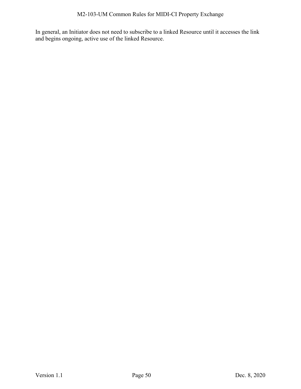In general, an Initiator does not need to subscribe to a linked Resource until it accesses the link and begins ongoing, active use of the linked Resource.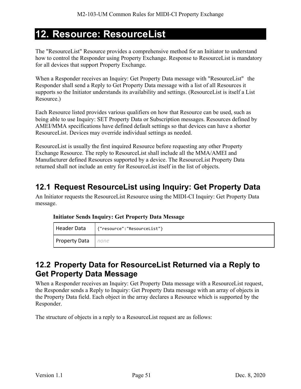# <span id="page-50-0"></span>**12. Resource: ResourceList**

The "ResourceList" Resource provides a comprehensive method for an Initiator to understand how to control the Responder using Property Exchange. Response to ResourceList is mandatory for all devices that support Property Exchange.

When a Responder receives an Inquiry: Get Property Data message with "ResourceList" the Responder shall send a Reply to Get Property Data message with a list of all Resources it supports so the Initiator understands its availability and settings. (ResourceList is itself a List Resource.)

Each Resource listed provides various qualifiers on how that Resource can be used, such as being able to use Inquiry: SET Property Data or Subscription messages. Resources defined by AMEI/MMA specifications have defined default settings so that devices can have a shorter ResourceList. Devices may override individual settings as needed.

ResourceList is usually the first inquired Resource before requesting any other Property Exchange Resource. The reply to ResourceList shall include all the MMA/AMEI and Manufacturer defined Resources supported by a device. The ResourceList Property Data returned shall not include an entry for ResourceList itself in the list of objects.

### <span id="page-50-1"></span>**12.1 Request ResourceList using Inquiry: Get Property Data**

An Initiator requests the ResourceList Resource using the MIDI-CI Inquiry: Get Property Data message.

#### **Initiator Sends Inquiry: Get Property Data Message**

| Header Data               | '{"resource":"ResourceList"} |  |
|---------------------------|------------------------------|--|
| <b>Property Data</b> none |                              |  |

### <span id="page-50-2"></span>**12.2 Property Data for ResourceList Returned via a Reply to Get Property Data Message**

When a Responder receives an Inquiry: Get Property Data message with a ResourceList request, the Responder sends a Reply to Inquiry: Get Property Data message with an array of objects in the Property Data field. Each object in the array declares a Resource which is supported by the Responder.

The structure of objects in a reply to a ResourceList request are as follows: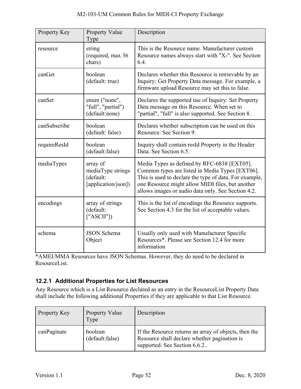| Property Key | Property Value<br>Type                                            | Description                                                                                                                                                                                                                                                        |
|--------------|-------------------------------------------------------------------|--------------------------------------------------------------------------------------------------------------------------------------------------------------------------------------------------------------------------------------------------------------------|
| resource     | string<br>(required, max 36<br>chars)                             | This is the Resource name. Manufacturer custom<br>Resource names always start with "X-". See Section<br>6.4.                                                                                                                                                       |
| canGet       | boolean<br>(default: true)                                        | Declares whether this Resource is retrievable by an<br>Inquiry: Get Property Data message. For example, a<br>firmware upload Resource may set this to false.                                                                                                       |
| canSet       | enum ("none",<br>"full", "partial")<br>(default:none)             | Declares the supported use of Inquiry: Set Property<br>Data message on this Resource. When set to<br>"partial", "full" is also supported. See Section 8.                                                                                                           |
| canSubscribe | boolean<br>(default: false)                                       | Declares whether subscription can be used on this<br>Resource. See Section 9.                                                                                                                                                                                      |
| requireResId | boolean<br>(default:false)                                        | Inquiry shall contain resId Property in the Header<br>Data. See Section 6.5.                                                                                                                                                                                       |
| mediaTypes   | array of<br>mediaType strings<br>(default:<br>[application/json]) | Media Types as defined by RFC-6838 [EXT05].<br>Common types are listed in Media Types [EXT06].<br>This is used to declare the type of data. For example,<br>one Resource might allow MIDI files, but another<br>allows images or audio data only. See Section 4.2. |
| encodings    | array of strings<br>(default:<br>['ASCII"]                        | This is the list of encodings the Resource supports.<br>See Section 4.3 for the list of acceptable values.                                                                                                                                                         |
| schema       | <b>JSON Schema</b><br>Object                                      | Usually only used with Manufacturer Specific<br>Resources*. Please see Section 12.4 for more<br>information                                                                                                                                                        |

\*AMEI/MMA Resources have JSON Schemas. However, they do need to be declared in ResourceList.

#### <span id="page-51-0"></span>**12.2.1 Additional Properties for List Resources**

Any Resource which is a List Resource declared as an entry in the ResourceList Property Data shall include the following additional Properties if they are applicable to that List Resource.

| Property Key | <b>Property Value</b><br>Type | Description                                                                                                                            |
|--------------|-------------------------------|----------------------------------------------------------------------------------------------------------------------------------------|
| canPaginate  | boolean<br>(default:false)    | If the Resource returns an array of objects, then the<br>Resource shall declare whether pagination is<br>supported. See Section 6.6.2. |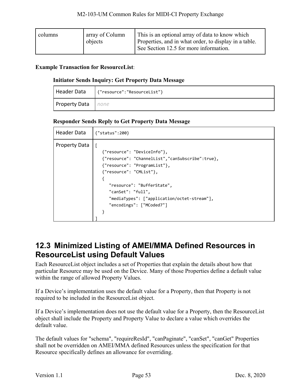| array of Column | This is an optional array of data to know which       |
|-----------------|-------------------------------------------------------|
| columns         | Properties, and in what order, to display in a table. |
| objects         | See Section 12.5 for more information.                |

#### **Example Transaction for ResourceList**:

#### **Initiator Sends Inquiry: Get Property Data Message**

| Header Data               | {"resource":"ResourceList"} |  |
|---------------------------|-----------------------------|--|
| <b>Property Data</b> none |                             |  |

#### **Responder Sends Reply to Get Property Data Message**

| <b>Header Data</b>   | ${''}status":200$                                                                                                                                                                                                                                                        |  |  |  |
|----------------------|--------------------------------------------------------------------------------------------------------------------------------------------------------------------------------------------------------------------------------------------------------------------------|--|--|--|
| <b>Property Data</b> | {"resource": "DeviceInfo"},<br>{"resource": "ChannelList","canSubscribe":true},<br>{"resource": "ProgramList"},<br>{"resource": "CMList"},<br>"resource": "BufferState",<br>"canSet": "full",<br>"mediaTypes": ["application/octet-stream"],<br>"encodings": ["MCoded7"] |  |  |  |

### <span id="page-52-0"></span>**12.3 Minimized Listing of AMEI/MMA Defined Resources in ResourceList using Default Values**

Each ResourceList object includes a set of Properties that explain the details about how that particular Resource may be used on the Device. Many of those Properties define a default value within the range of allowed Property Values.

If a Device's implementation uses the default value for a Property, then that Property is not required to be included in the ResourceList object.

If a Device's implementation does not use the default value for a Property, then the ResourceList object shall include the Property and Property Value to declare a value which overrides the default value.

The default values for "schema", "requireResId", "canPaginate", "canSet", "canGet" Properties shall not be overridden on AMEI/MMA defined Resources unless the specification for that Resource specifically defines an allowance for overriding.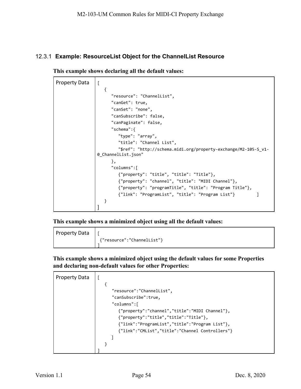#### <span id="page-53-0"></span>12.3.1 **Example: ResourceList Object for the ChannelList Resource**

**This example shows declaring all the default values:** 

```
Property Data | [
                     { 
                        "resource": "ChannelList",
                        "canGet": true,
                        "canSet": "none",
                        "canSubscribe": false,
                        "canPaginate": false,
                        "schema":{
                           "type": "array",
                            "title": "Channel List",
                           "$ref": "http://schema.midi.org/property-exchange/M2-105-S_v1-
                 0_ChannelList.json"
                        },
                        "columns":[
                           {"property": "title", "title": "Title"},
                           {"property": "channel", "title": "MIDI Channel"},
                           {"property": "programTitle", "title": "Program Title"},
                           {"link": "ProgramList", "title": "Program List"} ] 
                     } 
                  ]
```
**This example shows a minimized object using all the default values:** 

Property Data  $\vert \vert$ {"resource":"ChannelList"} ]

**This example shows a minimized object using the default values for some Properties and declaring non-default values for other Properties:** 

| <b>Property Data</b> |                                                 |
|----------------------|-------------------------------------------------|
|                      |                                                 |
|                      | "resource":"ChannelList",                       |
|                      | "canSubscribe":true,                            |
|                      | "columns":[                                     |
|                      | {"property":"channel","title":"MIDI Channel"},  |
|                      | ${``property":"title", "title":"Title";$        |
|                      | {"link":"ProgramList","title":"Program List"},  |
|                      | {"link":"CMList","title":"Channel Controllers"} |
|                      |                                                 |
|                      |                                                 |
|                      |                                                 |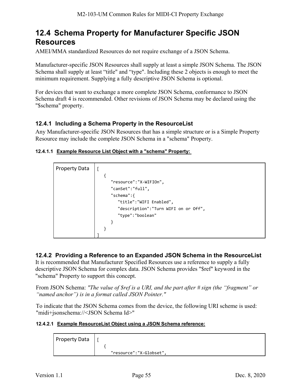### <span id="page-54-0"></span>**12.4 Schema Property for Manufacturer Specific JSON Resources**

AMEI/MMA standardized Resources do not require exchange of a JSON Schema.

Manufacturer-specific JSON Resources shall supply at least a simple JSON Schema. The JSON Schema shall supply at least "title" and "type". Including these 2 objects is enough to meet the minimum requirement. Supplying a fully descriptive JSON Schema is optional.

For devices that want to exchange a more complete JSON Schema, conformance to JSON Schema draft 4 is recommended. Other revisions of JSON Schema may be declared using the "\$schema" property.

#### <span id="page-54-1"></span>**12.4.1 Including a Schema Property in the ResourceList**

Any Manufacturer-specific JSON Resources that has a simple structure or is a Simple Property Resource may include the complete JSON Schema in a "schema" Property.

#### **12.4.1.1 Example Resource List Object with a "schema" Property:**

| <b>Property Data</b> |                                       |
|----------------------|---------------------------------------|
|                      |                                       |
|                      | "resource":"X-WIFIOn",                |
|                      | "canSet":"full",                      |
|                      | "schema":{                            |
|                      | "title":"WIFI Enabled",               |
|                      | "description": "Turn WIFI on or Off", |
|                      | "type":"boolean"                      |
|                      |                                       |
|                      |                                       |
|                      |                                       |

#### <span id="page-54-2"></span>**12.4.2 Providing a Reference to an Expanded JSON Schema in the ResourceList**

It is recommended that Manufacturer Specified Resources use a reference to supply a fully descriptive JSON Schema for complex data. JSON Schema provides "\$ref" keyword in the "schema" Property to support this concept.

From JSON Schema: *"The value of \$ref is a URI, and the part after # sign (the "fragment" or "named anchor") is in a format called [J](https://tools.ietf.org/html/rfc6901)SON Pointer."*

To indicate that the JSON Schema comes from the device, the following URI scheme is used: "midi+jsonschema://<JSON Schema Id>"

#### **12.4.2.1 Example ResourceList Object using a JSON Schema reference:**

| <b>Property Data</b> |                         |
|----------------------|-------------------------|
|                      | "resource":"X-Globset", |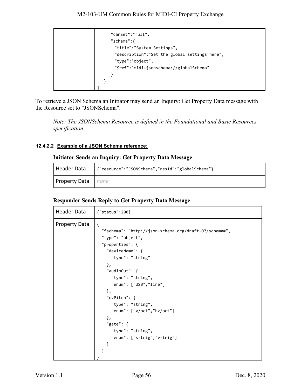```
"canSet":"full",
     "schema":{
       "title":"System Settings",
       "description":"Set the global settings here",
       "type":"object",
       "$ref":"midi+jsonschema://globalSchema"
     } 
   } 
]
```
To retrieve a JSON Schema an Initiator may send an Inquiry: Get Property Data message with the Resource set to "JSONSchema".

*Note: The JSONSchema Resource is defined in the Foundational and Basic Resources specification.*

#### **12.4.2.2 Example of a JSON Schema reference:**

#### **Initiator Sends an Inquiry: Get Property Data Message**

|                           | Header Data   {"resource":"JSONSchema","resId":"globalSchema"} |
|---------------------------|----------------------------------------------------------------|
| <b>Property Data</b> none |                                                                |

#### **Responder Sends Reply to Get Property Data Message**

| Header Data          | {"status":200}                                                                                                                                                                                                                                                                                                                                                                   |  |  |
|----------------------|----------------------------------------------------------------------------------------------------------------------------------------------------------------------------------------------------------------------------------------------------------------------------------------------------------------------------------------------------------------------------------|--|--|
| <b>Property Data</b> | $\{$<br>"\$schema": "http://json-schema.org/draft-07/schema#",<br>"type": "object",<br>"properties": {<br>"deviceName": {<br>"type": "string"<br>},<br>"audioOut": $\{$<br>"type": "string",<br>"enum": ["USB","line"]<br>},<br>"cvPitch": {<br>"type": "string",<br>"enum": ["v/oct", "hz/oct"]<br>},<br>"gate": $\{$<br>"type": "string",<br>"enum": ["s-trig", "v-trig"]<br>ł |  |  |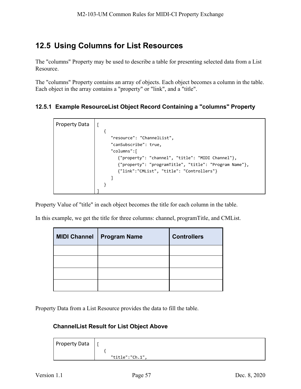### <span id="page-56-0"></span>**12.5 Using Columns for List Resources**

The "columns" Property may be used to describe a table for presenting selected data from a List Resource.

The "columns" Property contains an array of objects. Each object becomes a column in the table. Each object in the array contains a "property" or "link", and a "title".

#### <span id="page-56-1"></span>**12.5.1 Example ResourceList Object Record Containing a "columns" Property**

| <b>Property Data</b> |                                                                                                                                                          |
|----------------------|----------------------------------------------------------------------------------------------------------------------------------------------------------|
|                      | "resource": "ChannelList",<br>"canSubscribe": true,<br>"columns":[                                                                                       |
|                      | {"property": "channel", "title": "MIDI Channel"},<br>{"property": "programTitle", "title": "Program Name"},<br>{"link":"CMList", "title": "Controllers"} |
|                      |                                                                                                                                                          |

Property Value of "title" in each object becomes the title for each column in the table.

In this example, we get the title for three columns: channel, programTitle, and CMList.

| MIDI Channel   Program Name | <b>Controllers</b> |
|-----------------------------|--------------------|
|                             |                    |
|                             |                    |
|                             |                    |
|                             |                    |

<span id="page-56-2"></span>Property Data from a List Resource provides the data to fill the table.

#### **ChannelList Result for List Object Above**

| <b>Property Data</b> |                 |
|----------------------|-----------------|
|                      | "title":"Ch.1", |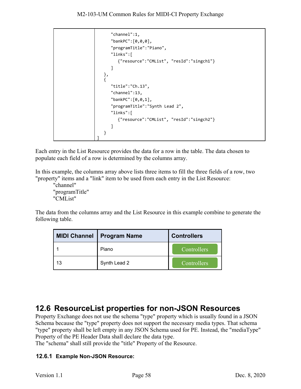```
 "channel":1, 
       "bankPC":[0,0,0], 
       "programTitle":"Piano", 
       "links":[
          {"resource":"CMList", "resId":"singch1"}
      ] 
 }, 
\{ "title":"Ch.13", 
       "channel":13, 
       "bankPC":[0,0,1], 
       "programTitle":"Synth Lead 2", 
       "links":[
          {"resource":"CMList", "resId":"singch2"}
       ] 
   } 
]
```
Each entry in the List Resource provides the data for a row in the table. The data chosen to populate each field of a row is determined by the columns array.

In this example, the columns array above lists three items to fill the three fields of a row, two "property" items and a "link" item to be used from each entry in the List Resource:

"channel" "programTitle" "CMList"

The data from the columns array and the List Resource in this example combine to generate the following table.

| <b>MIDI Channel</b> | <b>Program Name</b> | <b>Controllers</b> |
|---------------------|---------------------|--------------------|
|                     | Piano               | Controllers        |
| 13                  | Synth Lead 2        | Controllers        |

### <span id="page-57-0"></span>**12.6 ResourceList properties for non-JSON Resources**

Property Exchange does not use the schema "type" property which is usually found in a JSON Schema because the "type" property does not support the necessary media types. That schema "type" property shall be left empty in any JSON Schema used for PE. Instead, the "mediaType" Property of the PE Header Data shall declare the data type.

The "schema" shall still provide the "title" Property of the Resource.

#### <span id="page-57-1"></span>**12.6.1 Example Non-JSON Resource:**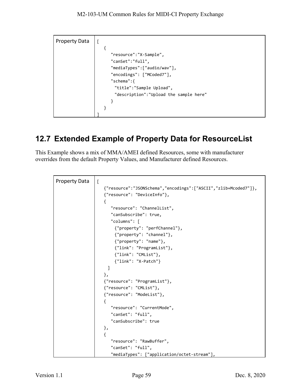| <b>Property Data</b> |                                                                        |
|----------------------|------------------------------------------------------------------------|
|                      | "resource":"X-Sample",<br>"canSet":"full",                             |
|                      | "mediaTypes":["audio/wav"],<br>"encodings": ["MCoded7"],<br>"schema":{ |
|                      | "title":"Sample Upload",<br>"description":"Upload the sample here"     |
|                      |                                                                        |

### <span id="page-58-0"></span>**12.7 Extended Example of Property Data for ResourceList**

This Example shows a mix of MMA/AMEI defined Resources, some with manufacturer overrides from the default Property Values, and Manufacturer defined Resources.

```
Property Data \vert [
                    {"resource":"JSONSchema","encodings":["ASCII","zlib+Mcoded7"]},
                    {"resource": "DeviceInfo"},
                    { 
                       "resource": "ChannelList",
                       "canSubscribe": true, 
                       "columns": [
                         {"property": "perfChannel"},
                         {"property": "channel"},
                         {"property": "name"},
                         {"link": "ProgramList"},
                         {"link": "CMList"},
                         {"link": "X-Patch"}
                      ] 
                    },
                    {"resource": "ProgramList"},
                    {"resource": "CMList"},
                    {"resource": "ModeList"},
                    { 
                        "resource": "CurrentMode",
                        "canSet": "full",
                       "canSubscribe": true
                    },
                    {
                       "resource": "RawBuffer",
                       "canSet": "full",
                       "mediaTypes": ["application/octet-stream"],
```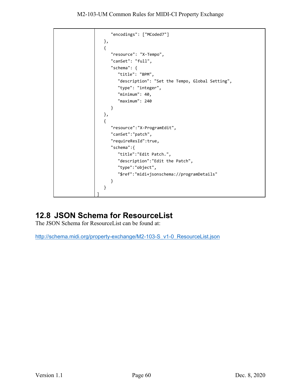M2-103-UM Common Rules for MIDI-CI Property Exchange

```
"encodings": ["MCoded7"]
  },
  {
     "resource": "X-Tempo",
     "canSet": "full",
     "schema": {
         "title": "BPM",
         "description": "Set the Tempo, Global Setting",
         "type": "integer",
         "minimum": 40,
         "maximum": 240
      }
  },
   { 
     "resource":"X-ProgramEdit",
     "canSet":"patch",
     "requireResId":true,
     "schema":{
         "title":"Edit Patch.",
         "description":"Edit the Patch",
         "type":"object",
         "$ref":"midi+jsonschema://programDetails"
      } 
  }
]
```
### <span id="page-59-0"></span>**12.8 JSON Schema for ResourceList**

The JSON Schema for ResourceList can be found at:

[http://schema.midi.org/property-exchange/M2-103-S\\_v1-0\\_ResourceList.json](http://schema.midi.org/property-exchange/M2-103-S_v1-0_ResourceList.json)